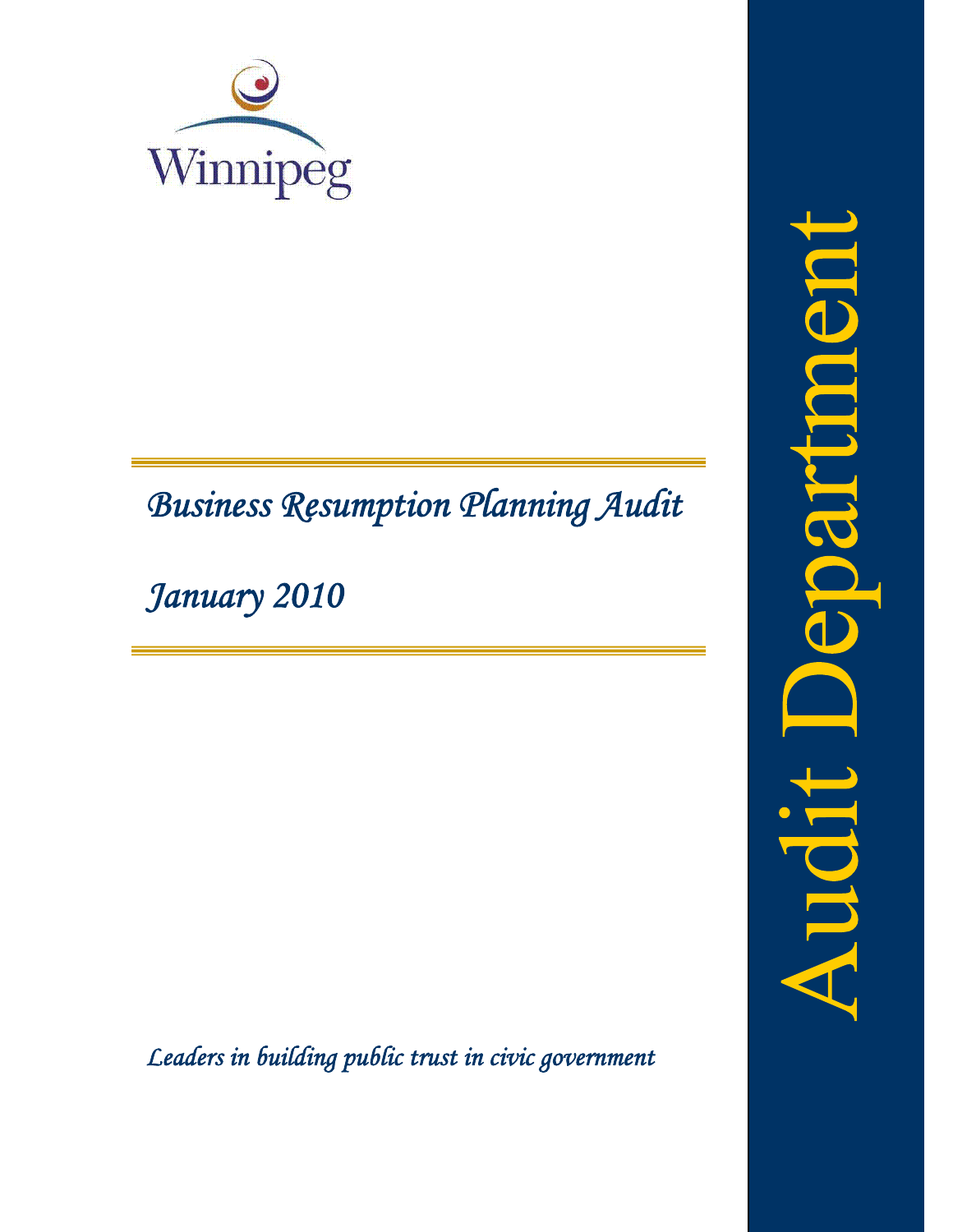

# *Business Resumption Planning Audit*

*January 2010*

*Leaders in building public trust in civic government*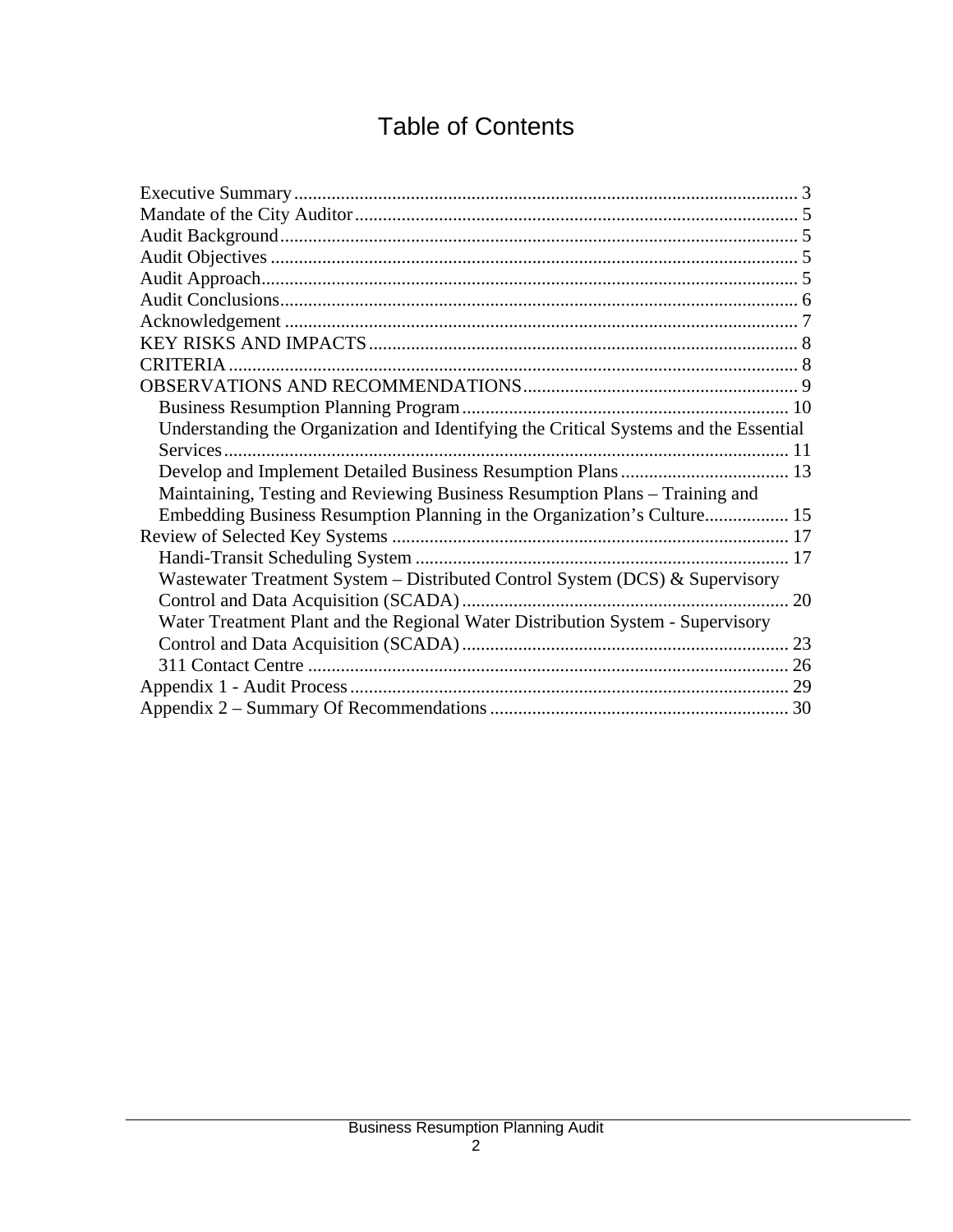# Table of Contents

| CRITERIA.                                                                             |  |
|---------------------------------------------------------------------------------------|--|
|                                                                                       |  |
|                                                                                       |  |
| Understanding the Organization and Identifying the Critical Systems and the Essential |  |
|                                                                                       |  |
|                                                                                       |  |
| Maintaining, Testing and Reviewing Business Resumption Plans – Training and           |  |
| Embedding Business Resumption Planning in the Organization's Culture 15               |  |
|                                                                                       |  |
|                                                                                       |  |
| Wastewater Treatment System - Distributed Control System (DCS) & Supervisory          |  |
|                                                                                       |  |
| Water Treatment Plant and the Regional Water Distribution System - Supervisory        |  |
|                                                                                       |  |
|                                                                                       |  |
|                                                                                       |  |
|                                                                                       |  |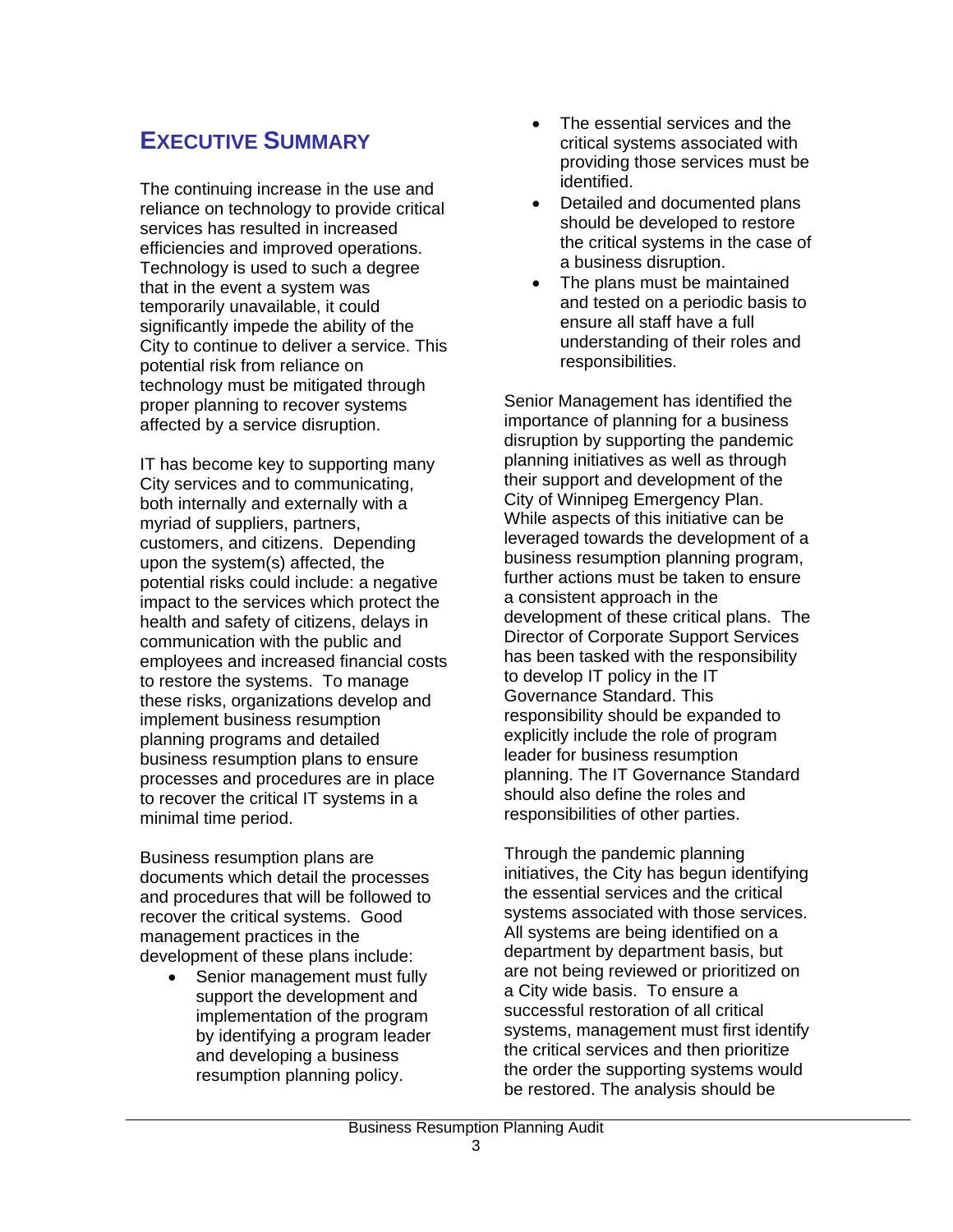# **EXECUTIVE SUMMARY**

The continuing increase in the use and reliance on technology to provide critical services has resulted in increased efficiencies and improved operations. Technology is used to such a degree that in the event a system was temporarily unavailable, it could significantly impede the ability of the City to continue to deliver a service. This potential risk from reliance on technology must be mitigated through proper planning to recover systems affected by a service disruption.

IT has become key to supporting many City services and to communicating, both internally and externally with a myriad of suppliers, partners, customers, and citizens. Depending upon the system(s) affected, the potential risks could include: a negative impact to the services which protect the health and safety of citizens, delays in communication with the public and employees and increased financial costs to restore the systems. To manage these risks, organizations develop and implement business resumption planning programs and detailed business resumption plans to ensure processes and procedures are in place to recover the critical IT systems in a minimal time period.

Business resumption plans are documents which detail the processes and procedures that will be followed to recover the critical systems. Good management practices in the development of these plans include:

• Senior management must fully support the development and implementation of the program by identifying a program leader and developing a business resumption planning policy.

- The essential services and the critical systems associated with providing those services must be identified.
- Detailed and documented plans should be developed to restore the critical systems in the case of a business disruption.
- The plans must be maintained and tested on a periodic basis to ensure all staff have a full understanding of their roles and responsibilities.

Senior Management has identified the importance of planning for a business disruption by supporting the pandemic planning initiatives as well as through their support and development of the City of Winnipeg Emergency Plan. While aspects of this initiative can be leveraged towards the development of a business resumption planning program, further actions must be taken to ensure a consistent approach in the development of these critical plans. The Director of Corporate Support Services has been tasked with the responsibility to develop IT policy in the IT Governance Standard. This responsibility should be expanded to explicitly include the role of program leader for business resumption planning. The IT Governance Standard should also define the roles and responsibilities of other parties.

Through the pandemic planning initiatives, the City has begun identifying the essential services and the critical systems associated with those services. All systems are being identified on a department by department basis, but are not being reviewed or prioritized on a City wide basis. To ensure a successful restoration of all critical systems, management must first identify the critical services and then prioritize the order the supporting systems would be restored. The analysis should be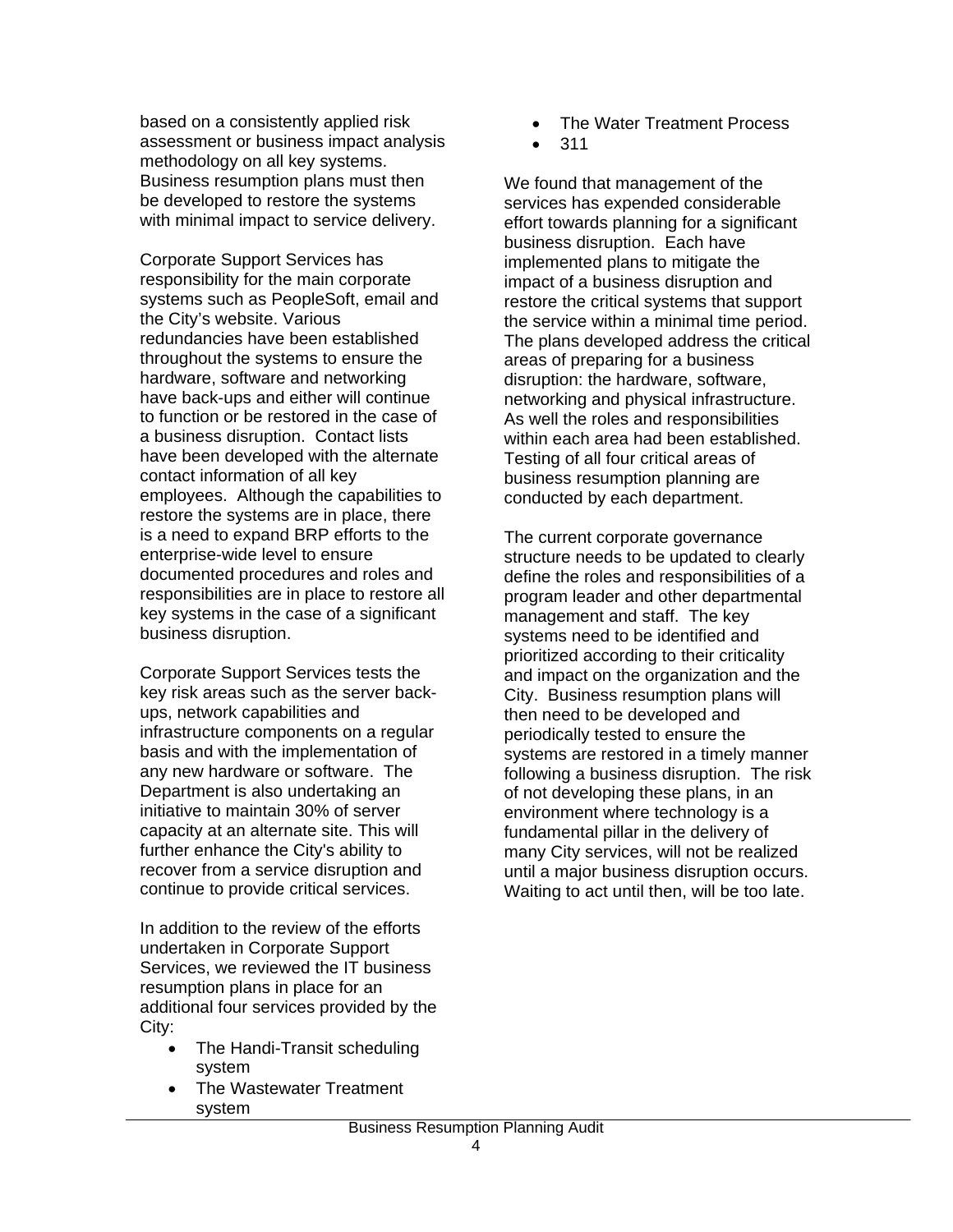based on a consistently applied risk assessment or business impact analysis methodology on all key systems. Business resumption plans must then be developed to restore the systems with minimal impact to service delivery.

Corporate Support Services has responsibility for the main corporate systems such as PeopleSoft, email and the City's website. Various redundancies have been established throughout the systems to ensure the hardware, software and networking have back-ups and either will continue to function or be restored in the case of a business disruption. Contact lists have been developed with the alternate contact information of all key employees. Although the capabilities to restore the systems are in place, there is a need to expand BRP efforts to the enterprise-wide level to ensure documented procedures and roles and responsibilities are in place to restore all key systems in the case of a significant business disruption.

Corporate Support Services tests the key risk areas such as the server backups, network capabilities and infrastructure components on a regular basis and with the implementation of any new hardware or software. The Department is also undertaking an initiative to maintain 30% of server capacity at an alternate site. This will further enhance the City's ability to recover from a service disruption and continue to provide critical services.

In addition to the review of the efforts undertaken in Corporate Support Services, we reviewed the IT business resumption plans in place for an additional four services provided by the City:

- The Handi-Transit scheduling system
- The Wastewater Treatment system
- The Water Treatment Process
- 311

We found that management of the services has expended considerable effort towards planning for a significant business disruption. Each have implemented plans to mitigate the impact of a business disruption and restore the critical systems that support the service within a minimal time period. The plans developed address the critical areas of preparing for a business disruption: the hardware, software, networking and physical infrastructure. As well the roles and responsibilities within each area had been established. Testing of all four critical areas of business resumption planning are conducted by each department.

The current corporate governance structure needs to be updated to clearly define the roles and responsibilities of a program leader and other departmental management and staff. The key systems need to be identified and prioritized according to their criticality and impact on the organization and the City. Business resumption plans will then need to be developed and periodically tested to ensure the systems are restored in a timely manner following a business disruption. The risk of not developing these plans, in an environment where technology is a fundamental pillar in the delivery of many City services, will not be realized until a major business disruption occurs. Waiting to act until then, will be too late.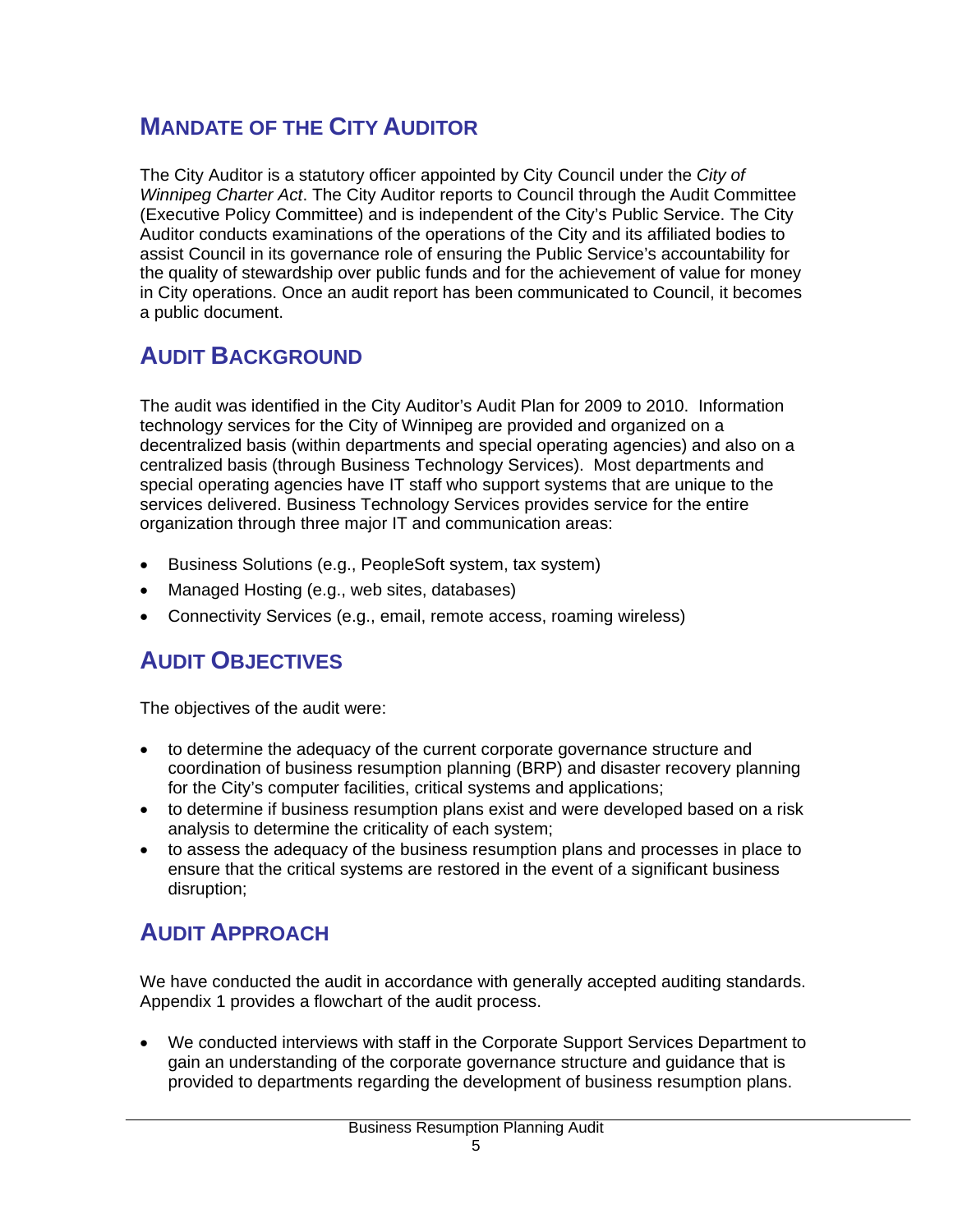# **MANDATE OF THE CITY AUDITOR**

The City Auditor is a statutory officer appointed by City Council under the *City of Winnipeg Charter Act*. The City Auditor reports to Council through the Audit Committee (Executive Policy Committee) and is independent of the City's Public Service. The City Auditor conducts examinations of the operations of the City and its affiliated bodies to assist Council in its governance role of ensuring the Public Service's accountability for the quality of stewardship over public funds and for the achievement of value for money in City operations. Once an audit report has been communicated to Council, it becomes a public document.

# **AUDIT BACKGROUND**

The audit was identified in the City Auditor's Audit Plan for 2009 to 2010. Information technology services for the City of Winnipeg are provided and organized on a decentralized basis (within departments and special operating agencies) and also on a centralized basis (through Business Technology Services). Most departments and special operating agencies have IT staff who support systems that are unique to the services delivered. Business Technology Services provides service for the entire organization through three major IT and communication areas:

- Business Solutions (e.g., PeopleSoft system, tax system)
- Managed Hosting (e.g., web sites, databases)
- Connectivity Services (e.g., email, remote access, roaming wireless)

# **AUDIT OBJECTIVES**

The objectives of the audit were:

- to determine the adequacy of the current corporate governance structure and coordination of business resumption planning (BRP) and disaster recovery planning for the City's computer facilities, critical systems and applications;
- to determine if business resumption plans exist and were developed based on a risk analysis to determine the criticality of each system;
- to assess the adequacy of the business resumption plans and processes in place to ensure that the critical systems are restored in the event of a significant business disruption;

# **AUDIT APPROACH**

We have conducted the audit in accordance with generally accepted auditing standards. Appendix 1 provides a flowchart of the audit process.

• We conducted interviews with staff in the Corporate Support Services Department to gain an understanding of the corporate governance structure and guidance that is provided to departments regarding the development of business resumption plans.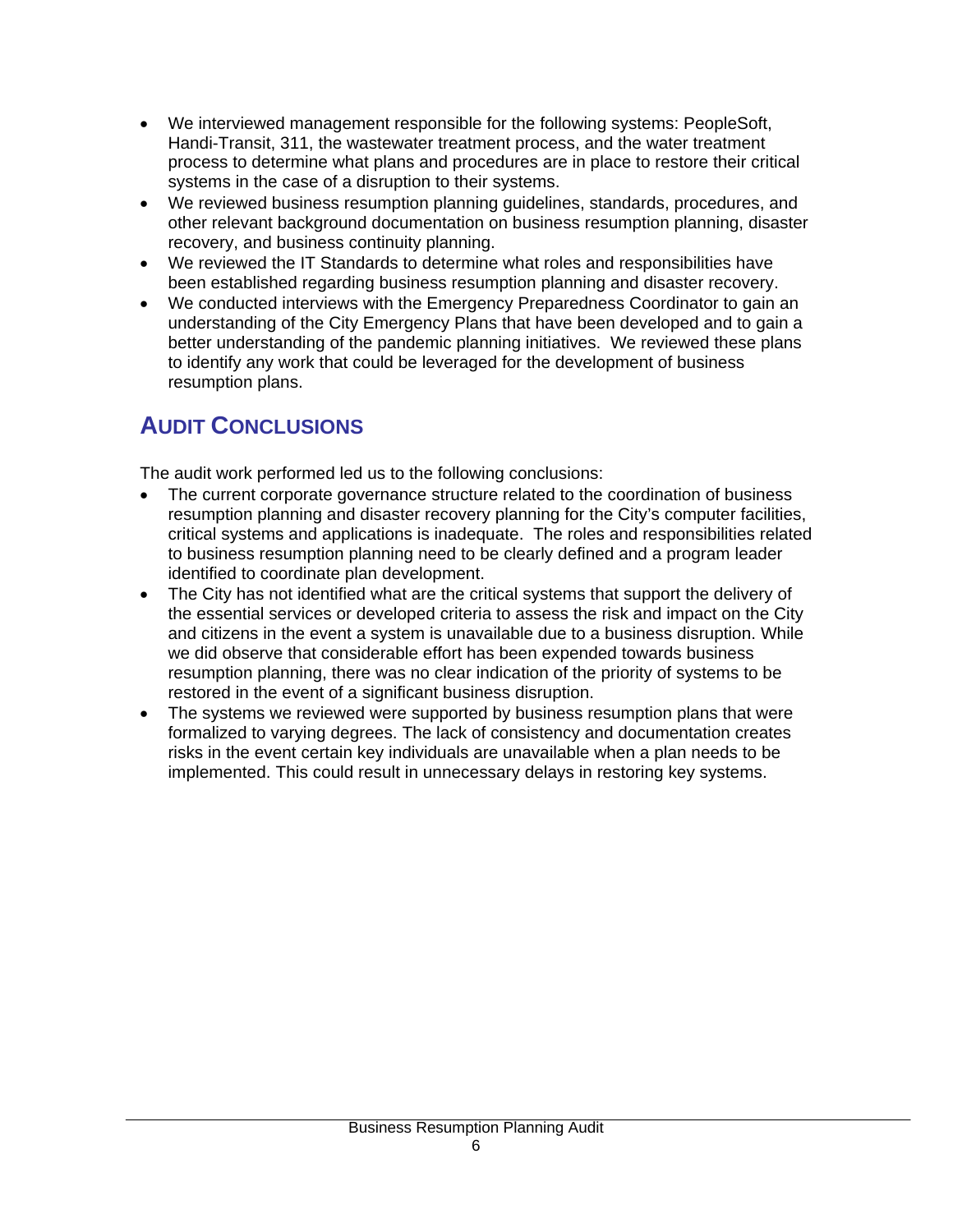- We interviewed management responsible for the following systems: PeopleSoft, Handi-Transit, 311, the wastewater treatment process, and the water treatment process to determine what plans and procedures are in place to restore their critical systems in the case of a disruption to their systems.
- We reviewed business resumption planning guidelines, standards, procedures, and other relevant background documentation on business resumption planning, disaster recovery, and business continuity planning.
- We reviewed the IT Standards to determine what roles and responsibilities have been established regarding business resumption planning and disaster recovery.
- We conducted interviews with the Emergency Preparedness Coordinator to gain an understanding of the City Emergency Plans that have been developed and to gain a better understanding of the pandemic planning initiatives. We reviewed these plans to identify any work that could be leveraged for the development of business resumption plans.

# **AUDIT CONCLUSIONS**

The audit work performed led us to the following conclusions:

- The current corporate governance structure related to the coordination of business resumption planning and disaster recovery planning for the City's computer facilities, critical systems and applications is inadequate. The roles and responsibilities related to business resumption planning need to be clearly defined and a program leader identified to coordinate plan development.
- The City has not identified what are the critical systems that support the delivery of the essential services or developed criteria to assess the risk and impact on the City and citizens in the event a system is unavailable due to a business disruption. While we did observe that considerable effort has been expended towards business resumption planning, there was no clear indication of the priority of systems to be restored in the event of a significant business disruption.
- The systems we reviewed were supported by business resumption plans that were formalized to varying degrees. The lack of consistency and documentation creates risks in the event certain key individuals are unavailable when a plan needs to be implemented. This could result in unnecessary delays in restoring key systems.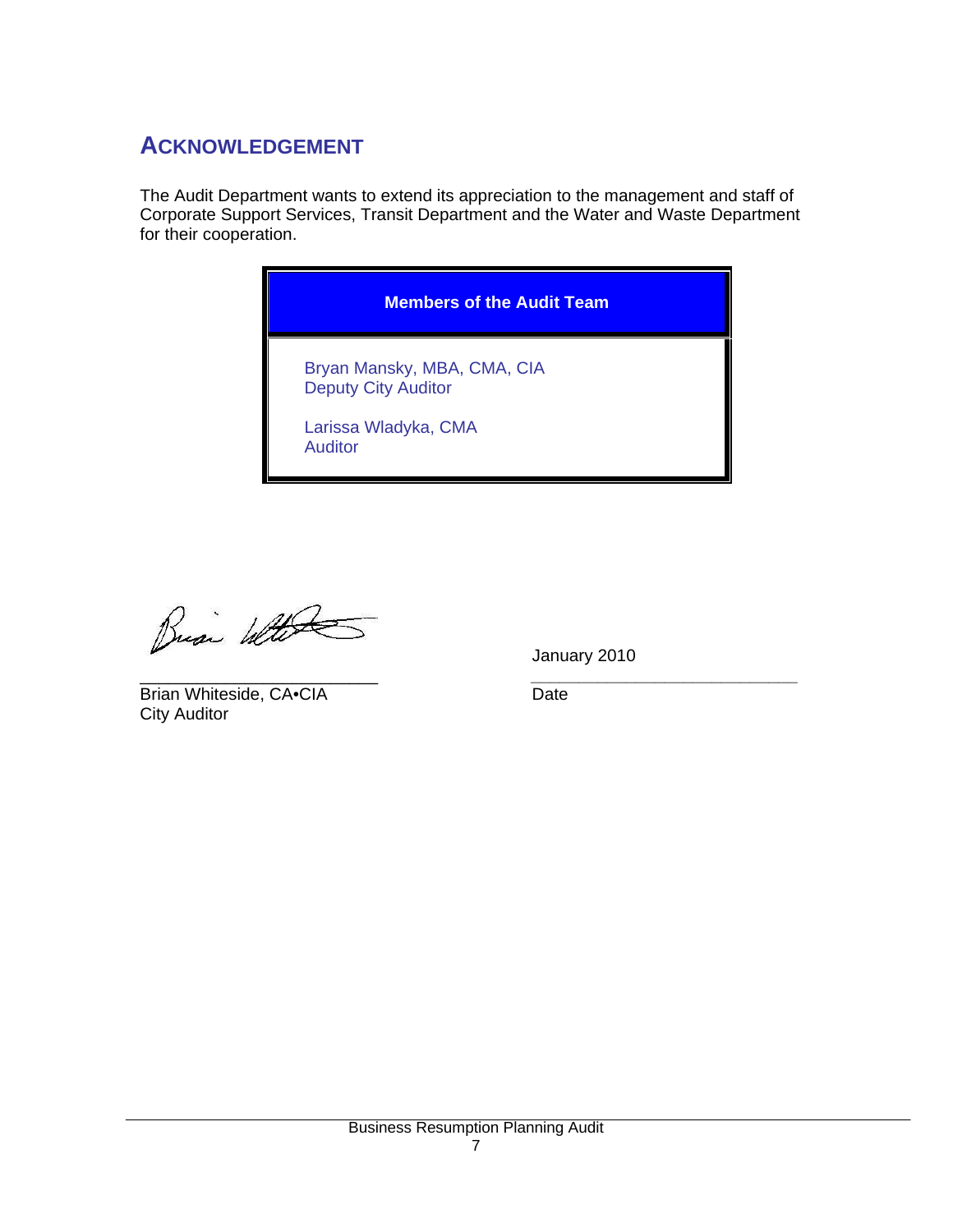# **ACKNOWLEDGEMENT**

The Audit Department wants to extend its appreciation to the management and staff of Corporate Support Services, Transit Department and the Water and Waste Department for their cooperation.

# **Members of the Audit Team**  Bryan Mansky, MBA, CMA, CIA Deputy City Auditor Larissa Wladyka, CMA Auditor

Busi With

January 2010

\_\_\_\_\_\_\_\_\_\_\_\_\_\_\_\_\_\_\_\_\_\_\_\_\_ *\_\_\_\_\_\_\_\_\_\_\_\_\_\_\_\_\_\_\_\_\_\_\_\_\_\_\_\_* Brian Whiteside, CA•CIA Date City Auditor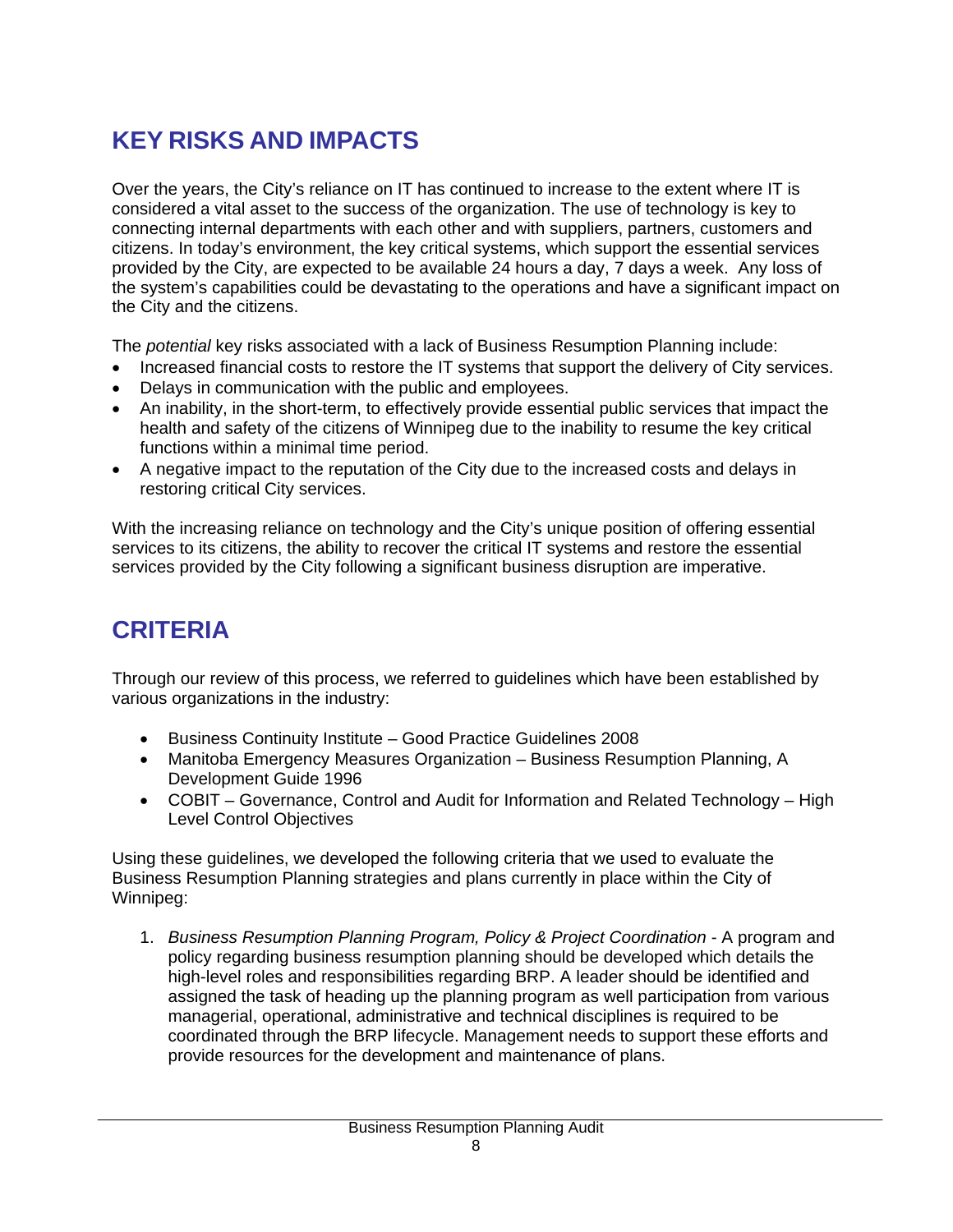# **KEY RISKS AND IMPACTS**

Over the years, the City's reliance on IT has continued to increase to the extent where IT is considered a vital asset to the success of the organization. The use of technology is key to connecting internal departments with each other and with suppliers, partners, customers and citizens. In today's environment, the key critical systems, which support the essential services provided by the City, are expected to be available 24 hours a day, 7 days a week. Any loss of the system's capabilities could be devastating to the operations and have a significant impact on the City and the citizens.

The *potential* key risks associated with a lack of Business Resumption Planning include:

- Increased financial costs to restore the IT systems that support the delivery of City services.
- Delays in communication with the public and employees.
- An inability, in the short-term, to effectively provide essential public services that impact the health and safety of the citizens of Winnipeg due to the inability to resume the key critical functions within a minimal time period.
- A negative impact to the reputation of the City due to the increased costs and delays in restoring critical City services.

With the increasing reliance on technology and the City's unique position of offering essential services to its citizens, the ability to recover the critical IT systems and restore the essential services provided by the City following a significant business disruption are imperative.

# **CRITERIA**

Through our review of this process, we referred to guidelines which have been established by various organizations in the industry:

- Business Continuity Institute Good Practice Guidelines 2008
- Manitoba Emergency Measures Organization Business Resumption Planning, A Development Guide 1996
- COBIT Governance, Control and Audit for Information and Related Technology High Level Control Objectives

Using these guidelines, we developed the following criteria that we used to evaluate the Business Resumption Planning strategies and plans currently in place within the City of Winnipeg:

1. *Business Resumption Planning Program, Policy & Project Coordination - A program and* policy regarding business resumption planning should be developed which details the high-level roles and responsibilities regarding BRP. A leader should be identified and assigned the task of heading up the planning program as well participation from various managerial, operational, administrative and technical disciplines is required to be coordinated through the BRP lifecycle. Management needs to support these efforts and provide resources for the development and maintenance of plans.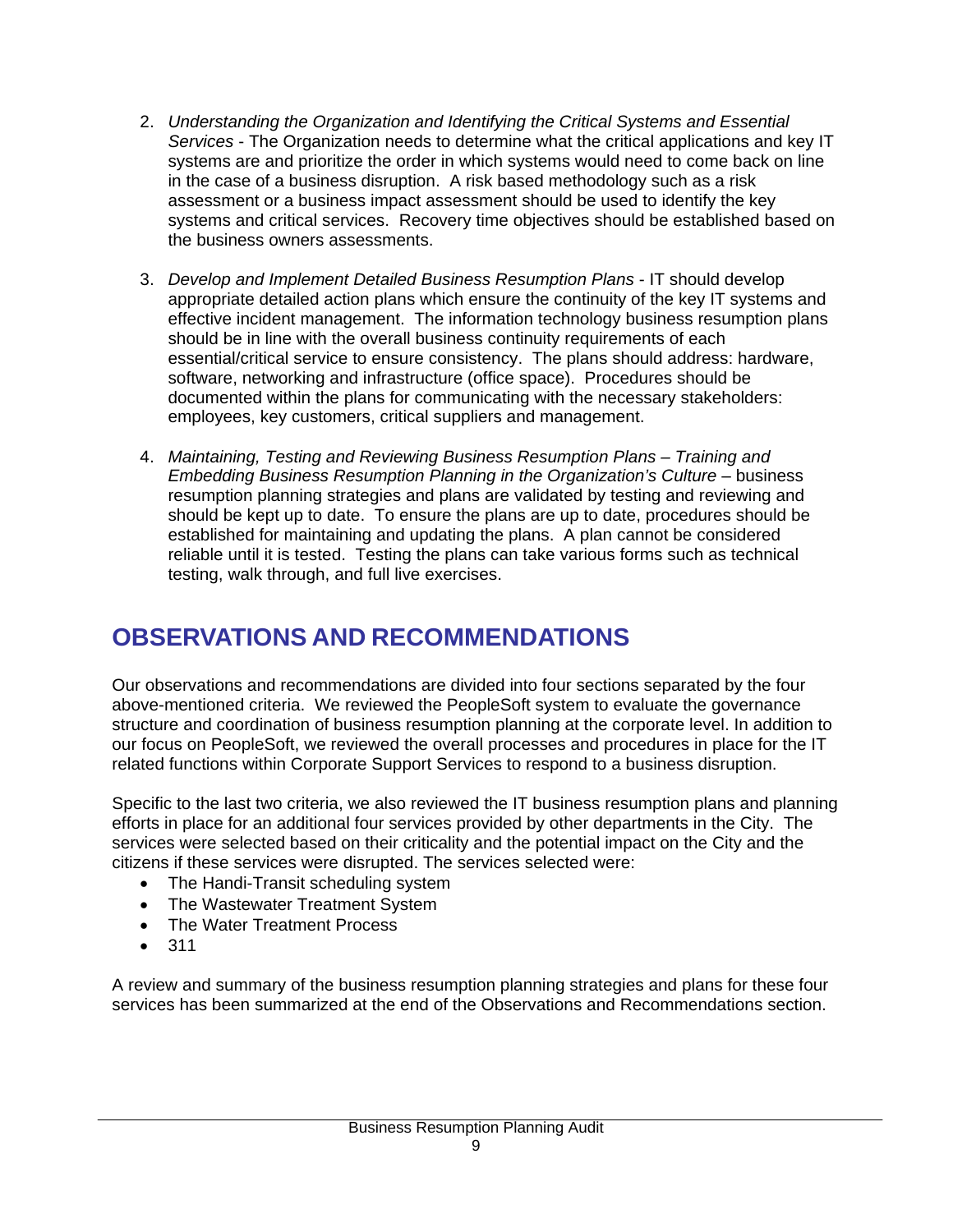- 2. *Understanding the Organization and Identifying the Critical Systems and Essential Services* - The Organization needs to determine what the critical applications and key IT systems are and prioritize the order in which systems would need to come back on line in the case of a business disruption. A risk based methodology such as a risk assessment or a business impact assessment should be used to identify the key systems and critical services. Recovery time objectives should be established based on the business owners assessments.
- 3. *Develop and Implement Detailed Business Resumption Plans*  IT should develop appropriate detailed action plans which ensure the continuity of the key IT systems and effective incident management. The information technology business resumption plans should be in line with the overall business continuity requirements of each essential/critical service to ensure consistency. The plans should address: hardware, software, networking and infrastructure (office space). Procedures should be documented within the plans for communicating with the necessary stakeholders: employees, key customers, critical suppliers and management.
- 4. *Maintaining, Testing and Reviewing Business Resumption Plans Training and Embedding Business Resumption Planning in the Organization's Culture – business* resumption planning strategies and plans are validated by testing and reviewing and should be kept up to date. To ensure the plans are up to date, procedures should be established for maintaining and updating the plans. A plan cannot be considered reliable until it is tested. Testing the plans can take various forms such as technical testing, walk through, and full live exercises.

# **OBSERVATIONS AND RECOMMENDATIONS**

Our observations and recommendations are divided into four sections separated by the four above-mentioned criteria. We reviewed the PeopleSoft system to evaluate the governance structure and coordination of business resumption planning at the corporate level. In addition to our focus on PeopleSoft, we reviewed the overall processes and procedures in place for the IT related functions within Corporate Support Services to respond to a business disruption.

Specific to the last two criteria, we also reviewed the IT business resumption plans and planning efforts in place for an additional four services provided by other departments in the City. The services were selected based on their criticality and the potential impact on the City and the citizens if these services were disrupted. The services selected were:

- The Handi-Transit scheduling system
- The Wastewater Treatment System
- The Water Treatment Process
- 311

A review and summary of the business resumption planning strategies and plans for these four services has been summarized at the end of the Observations and Recommendations section.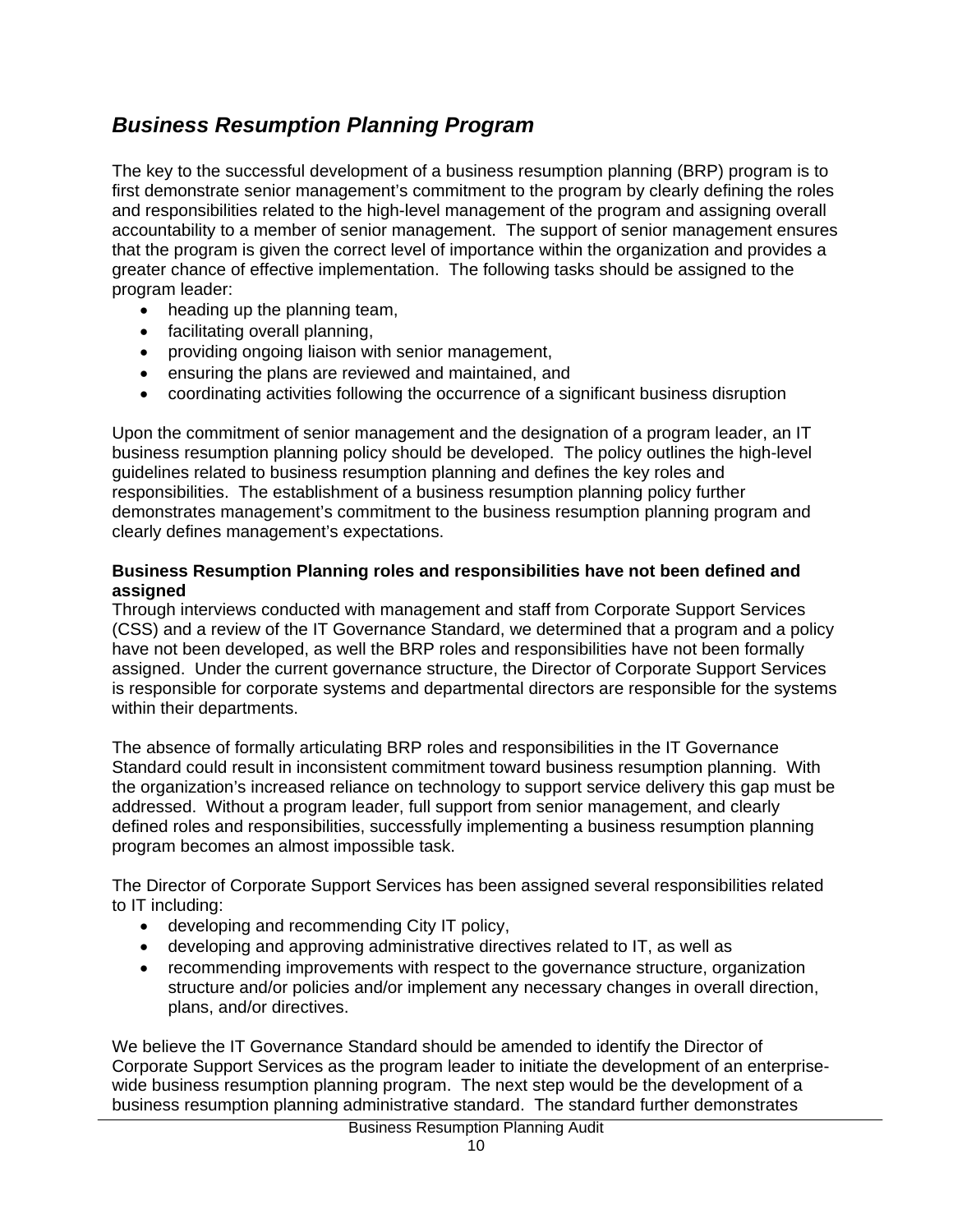# *Business Resumption Planning Program*

The key to the successful development of a business resumption planning (BRP) program is to first demonstrate senior management's commitment to the program by clearly defining the roles and responsibilities related to the high-level management of the program and assigning overall accountability to a member of senior management. The support of senior management ensures that the program is given the correct level of importance within the organization and provides a greater chance of effective implementation. The following tasks should be assigned to the program leader:

- heading up the planning team,
- facilitating overall planning,
- providing ongoing liaison with senior management,
- ensuring the plans are reviewed and maintained, and
- coordinating activities following the occurrence of a significant business disruption

Upon the commitment of senior management and the designation of a program leader, an IT business resumption planning policy should be developed. The policy outlines the high-level guidelines related to business resumption planning and defines the key roles and responsibilities. The establishment of a business resumption planning policy further demonstrates management's commitment to the business resumption planning program and clearly defines management's expectations.

#### **Business Resumption Planning roles and responsibilities have not been defined and assigned**

Through interviews conducted with management and staff from Corporate Support Services (CSS) and a review of the IT Governance Standard, we determined that a program and a policy have not been developed, as well the BRP roles and responsibilities have not been formally assigned. Under the current governance structure, the Director of Corporate Support Services is responsible for corporate systems and departmental directors are responsible for the systems within their departments.

The absence of formally articulating BRP roles and responsibilities in the IT Governance Standard could result in inconsistent commitment toward business resumption planning. With the organization's increased reliance on technology to support service delivery this gap must be addressed. Without a program leader, full support from senior management, and clearly defined roles and responsibilities, successfully implementing a business resumption planning program becomes an almost impossible task.

The Director of Corporate Support Services has been assigned several responsibilities related to IT including:

- developing and recommending City IT policy,
- developing and approving administrative directives related to IT, as well as
- recommending improvements with respect to the governance structure, organization structure and/or policies and/or implement any necessary changes in overall direction, plans, and/or directives.

We believe the IT Governance Standard should be amended to identify the Director of Corporate Support Services as the program leader to initiate the development of an enterprisewide business resumption planning program. The next step would be the development of a business resumption planning administrative standard. The standard further demonstrates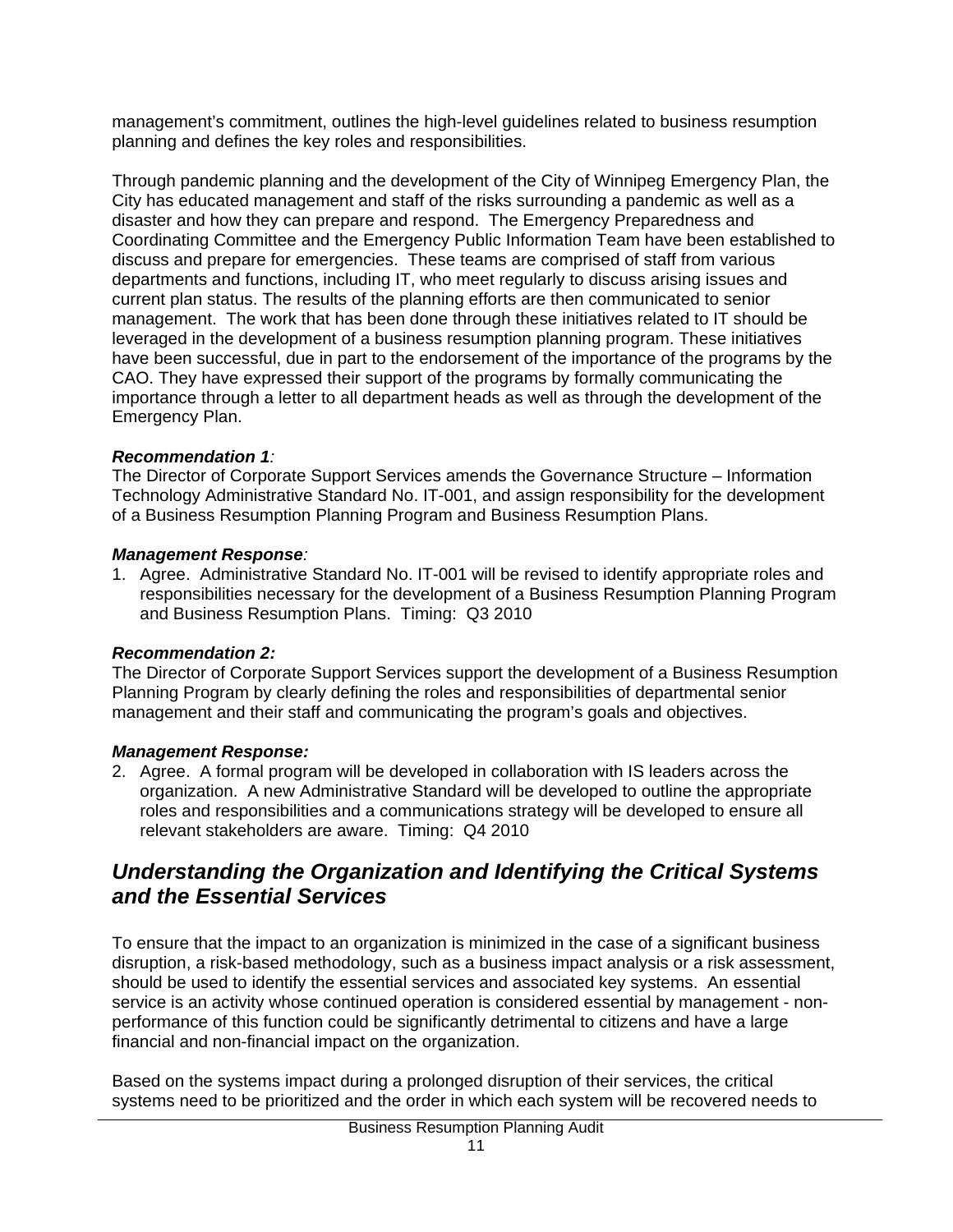management's commitment, outlines the high-level guidelines related to business resumption planning and defines the key roles and responsibilities.

Through pandemic planning and the development of the City of Winnipeg Emergency Plan, the City has educated management and staff of the risks surrounding a pandemic as well as a disaster and how they can prepare and respond. The Emergency Preparedness and Coordinating Committee and the Emergency Public Information Team have been established to discuss and prepare for emergencies. These teams are comprised of staff from various departments and functions, including IT, who meet regularly to discuss arising issues and current plan status. The results of the planning efforts are then communicated to senior management. The work that has been done through these initiatives related to IT should be leveraged in the development of a business resumption planning program. These initiatives have been successful, due in part to the endorsement of the importance of the programs by the CAO. They have expressed their support of the programs by formally communicating the importance through a letter to all department heads as well as through the development of the Emergency Plan.

## *Recommendation 1:*

The Director of Corporate Support Services amends the Governance Structure – Information Technology Administrative Standard No. IT-001, and assign responsibility for the development of a Business Resumption Planning Program and Business Resumption Plans.

#### *Management Response:*

1. Agree. Administrative Standard No. IT-001 will be revised to identify appropriate roles and responsibilities necessary for the development of a Business Resumption Planning Program and Business Resumption Plans. Timing: Q3 2010

## *Recommendation 2:*

The Director of Corporate Support Services support the development of a Business Resumption Planning Program by clearly defining the roles and responsibilities of departmental senior management and their staff and communicating the program's goals and objectives.

## *Management Response:*

2. Agree. A formal program will be developed in collaboration with IS leaders across the organization. A new Administrative Standard will be developed to outline the appropriate roles and responsibilities and a communications strategy will be developed to ensure all relevant stakeholders are aware. Timing: Q4 2010

# *Understanding the Organization and Identifying the Critical Systems and the Essential Services*

To ensure that the impact to an organization is minimized in the case of a significant business disruption, a risk-based methodology, such as a business impact analysis or a risk assessment, should be used to identify the essential services and associated key systems. An essential service is an activity whose continued operation is considered essential by management - nonperformance of this function could be significantly detrimental to citizens and have a large financial and non-financial impact on the organization.

Based on the systems impact during a prolonged disruption of their services, the critical systems need to be prioritized and the order in which each system will be recovered needs to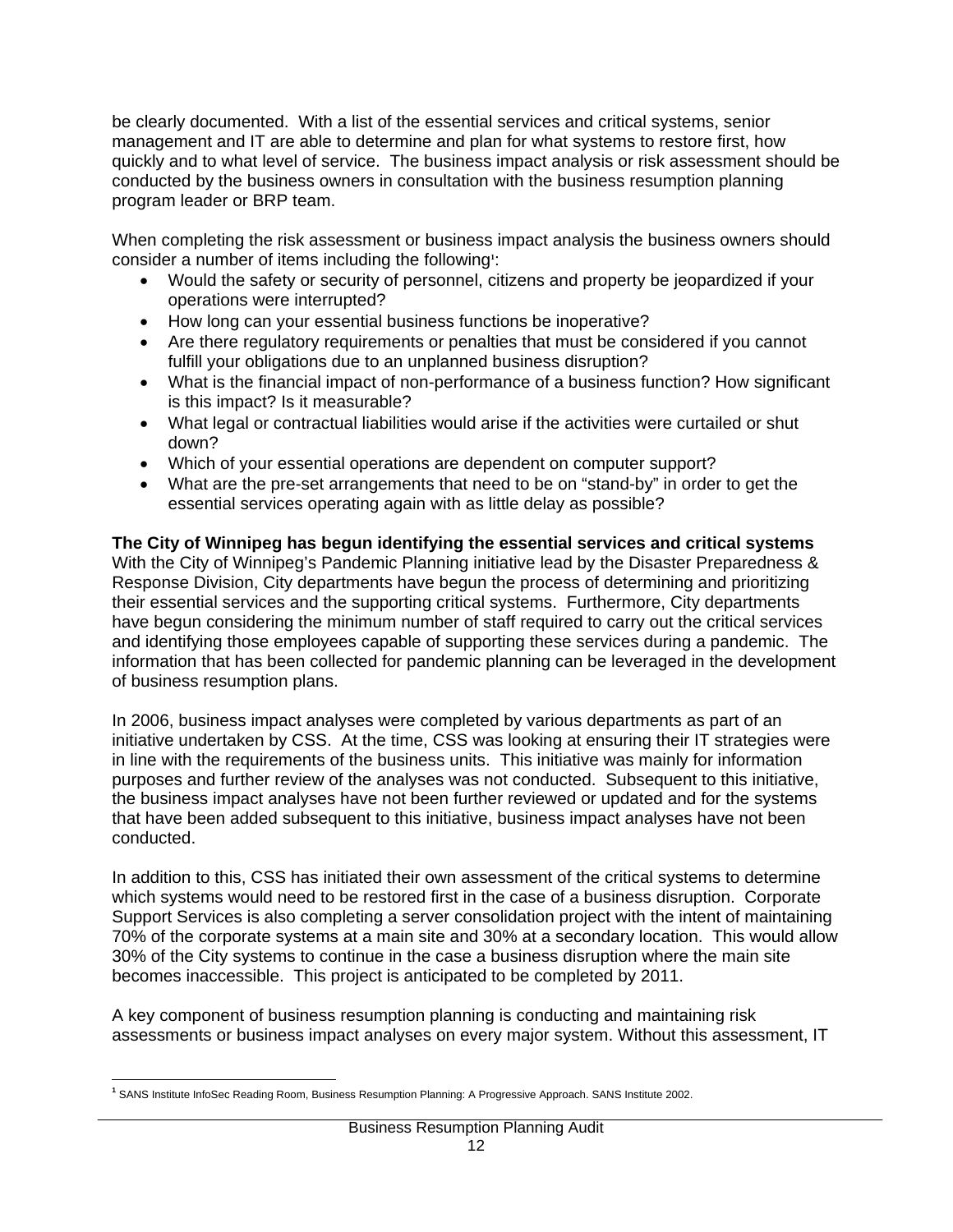be clearly documented. With a list of the essential services and critical systems, senior management and IT are able to determine and plan for what systems to restore first, how quickly and to what level of service. The business impact analysis or risk assessment should be conducted by the business owners in consultation with the business resumption planning program leader or BRP team.

When completing the risk assessment or business impact analysis the business owners should consider a number of items including the following**<sup>1</sup>** :

- Would the safety or security of personnel, citizens and property be jeopardized if your operations were interrupted?
- How long can your essential business functions be inoperative?
- Are there regulatory requirements or penalties that must be considered if you cannot fulfill your obligations due to an unplanned business disruption?
- What is the financial impact of non-performance of a business function? How significant is this impact? Is it measurable?
- What legal or contractual liabilities would arise if the activities were curtailed or shut down?
- Which of your essential operations are dependent on computer support?
- What are the pre-set arrangements that need to be on "stand-by" in order to get the essential services operating again with as little delay as possible?

**The City of Winnipeg has begun identifying the essential services and critical systems**  With the City of Winnipeg's Pandemic Planning initiative lead by the Disaster Preparedness & Response Division, City departments have begun the process of determining and prioritizing their essential services and the supporting critical systems. Furthermore, City departments have begun considering the minimum number of staff required to carry out the critical services and identifying those employees capable of supporting these services during a pandemic. The information that has been collected for pandemic planning can be leveraged in the development of business resumption plans.

In 2006, business impact analyses were completed by various departments as part of an initiative undertaken by CSS. At the time, CSS was looking at ensuring their IT strategies were in line with the requirements of the business units. This initiative was mainly for information purposes and further review of the analyses was not conducted. Subsequent to this initiative, the business impact analyses have not been further reviewed or updated and for the systems that have been added subsequent to this initiative, business impact analyses have not been conducted.

In addition to this, CSS has initiated their own assessment of the critical systems to determine which systems would need to be restored first in the case of a business disruption. Corporate Support Services is also completing a server consolidation project with the intent of maintaining 70% of the corporate systems at a main site and 30% at a secondary location. This would allow 30% of the City systems to continue in the case a business disruption where the main site becomes inaccessible. This project is anticipated to be completed by 2011.

A key component of business resumption planning is conducting and maintaining risk assessments or business impact analyses on every major system. Without this assessment, IT

 $\overline{a}$ **1** SANS Institute InfoSec Reading Room, Business Resumption Planning: A Progressive Approach. SANS Institute 2002.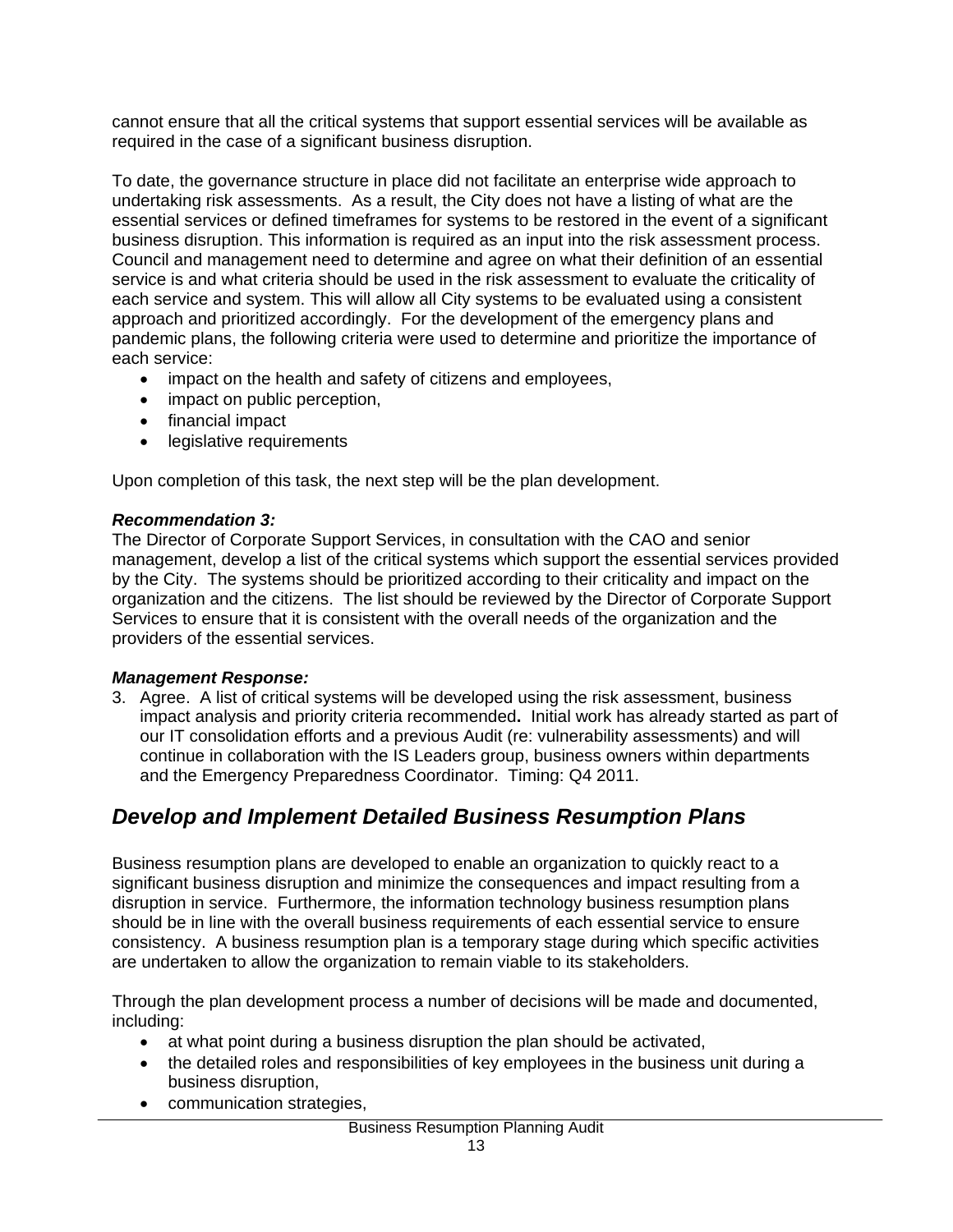cannot ensure that all the critical systems that support essential services will be available as required in the case of a significant business disruption.

To date, the governance structure in place did not facilitate an enterprise wide approach to undertaking risk assessments. As a result, the City does not have a listing of what are the essential services or defined timeframes for systems to be restored in the event of a significant business disruption. This information is required as an input into the risk assessment process. Council and management need to determine and agree on what their definition of an essential service is and what criteria should be used in the risk assessment to evaluate the criticality of each service and system. This will allow all City systems to be evaluated using a consistent approach and prioritized accordingly. For the development of the emergency plans and pandemic plans, the following criteria were used to determine and prioritize the importance of each service:

- impact on the health and safety of citizens and employees,
- impact on public perception,
- financial impact
- legislative requirements

Upon completion of this task, the next step will be the plan development.

#### *Recommendation 3:*

The Director of Corporate Support Services, in consultation with the CAO and senior management, develop a list of the critical systems which support the essential services provided by the City. The systems should be prioritized according to their criticality and impact on the organization and the citizens. The list should be reviewed by the Director of Corporate Support Services to ensure that it is consistent with the overall needs of the organization and the providers of the essential services.

## *Management Response:*

3. Agree. A list of critical systems will be developed using the risk assessment, business impact analysis and priority criteria recommended**.** Initial work has already started as part of our IT consolidation efforts and a previous Audit (re: vulnerability assessments) and will continue in collaboration with the IS Leaders group, business owners within departments and the Emergency Preparedness Coordinator. Timing: Q4 2011.

# *Develop and Implement Detailed Business Resumption Plans*

Business resumption plans are developed to enable an organization to quickly react to a significant business disruption and minimize the consequences and impact resulting from a disruption in service. Furthermore, the information technology business resumption plans should be in line with the overall business requirements of each essential service to ensure consistency. A business resumption plan is a temporary stage during which specific activities are undertaken to allow the organization to remain viable to its stakeholders.

Through the plan development process a number of decisions will be made and documented, including:

- at what point during a business disruption the plan should be activated,
- the detailed roles and responsibilities of key employees in the business unit during a business disruption,
- communication strategies,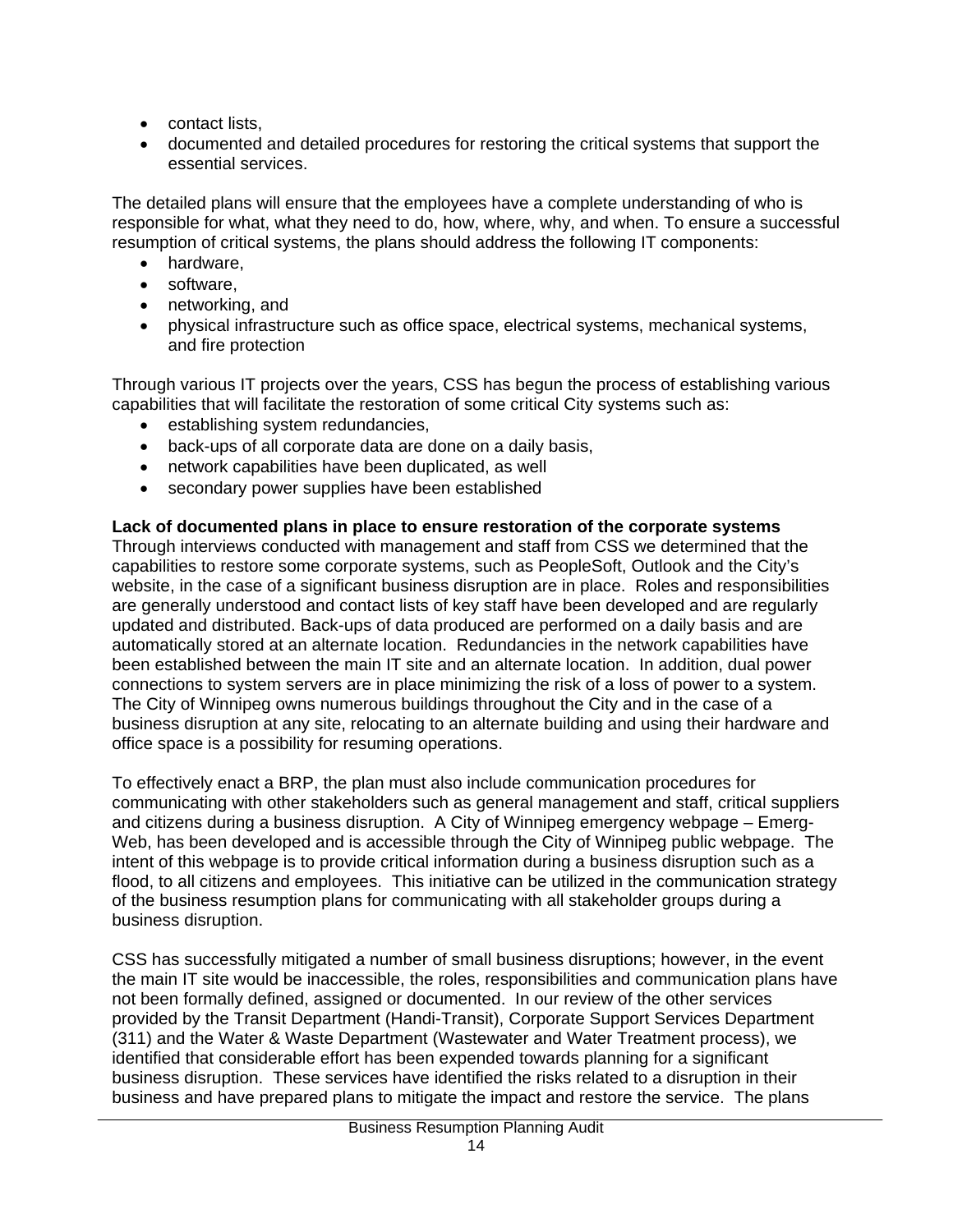- contact lists,
- documented and detailed procedures for restoring the critical systems that support the essential services.

The detailed plans will ensure that the employees have a complete understanding of who is responsible for what, what they need to do, how, where, why, and when. To ensure a successful resumption of critical systems, the plans should address the following IT components:

- hardware,
- software,
- networking, and
- physical infrastructure such as office space, electrical systems, mechanical systems, and fire protection

Through various IT projects over the years, CSS has begun the process of establishing various capabilities that will facilitate the restoration of some critical City systems such as:

- establishing system redundancies,
- back-ups of all corporate data are done on a daily basis,
- network capabilities have been duplicated, as well
- secondary power supplies have been established

# **Lack of documented plans in place to ensure restoration of the corporate systems**

Through interviews conducted with management and staff from CSS we determined that the capabilities to restore some corporate systems, such as PeopleSoft, Outlook and the City's website, in the case of a significant business disruption are in place. Roles and responsibilities are generally understood and contact lists of key staff have been developed and are regularly updated and distributed. Back-ups of data produced are performed on a daily basis and are automatically stored at an alternate location. Redundancies in the network capabilities have been established between the main IT site and an alternate location. In addition, dual power connections to system servers are in place minimizing the risk of a loss of power to a system. The City of Winnipeg owns numerous buildings throughout the City and in the case of a business disruption at any site, relocating to an alternate building and using their hardware and office space is a possibility for resuming operations.

To effectively enact a BRP, the plan must also include communication procedures for communicating with other stakeholders such as general management and staff, critical suppliers and citizens during a business disruption. A City of Winnipeg emergency webpage – Emerg-Web, has been developed and is accessible through the City of Winnipeg public webpage. The intent of this webpage is to provide critical information during a business disruption such as a flood, to all citizens and employees. This initiative can be utilized in the communication strategy of the business resumption plans for communicating with all stakeholder groups during a business disruption.

CSS has successfully mitigated a number of small business disruptions; however, in the event the main IT site would be inaccessible, the roles, responsibilities and communication plans have not been formally defined, assigned or documented. In our review of the other services provided by the Transit Department (Handi-Transit), Corporate Support Services Department (311) and the Water & Waste Department (Wastewater and Water Treatment process), we identified that considerable effort has been expended towards planning for a significant business disruption. These services have identified the risks related to a disruption in their business and have prepared plans to mitigate the impact and restore the service. The plans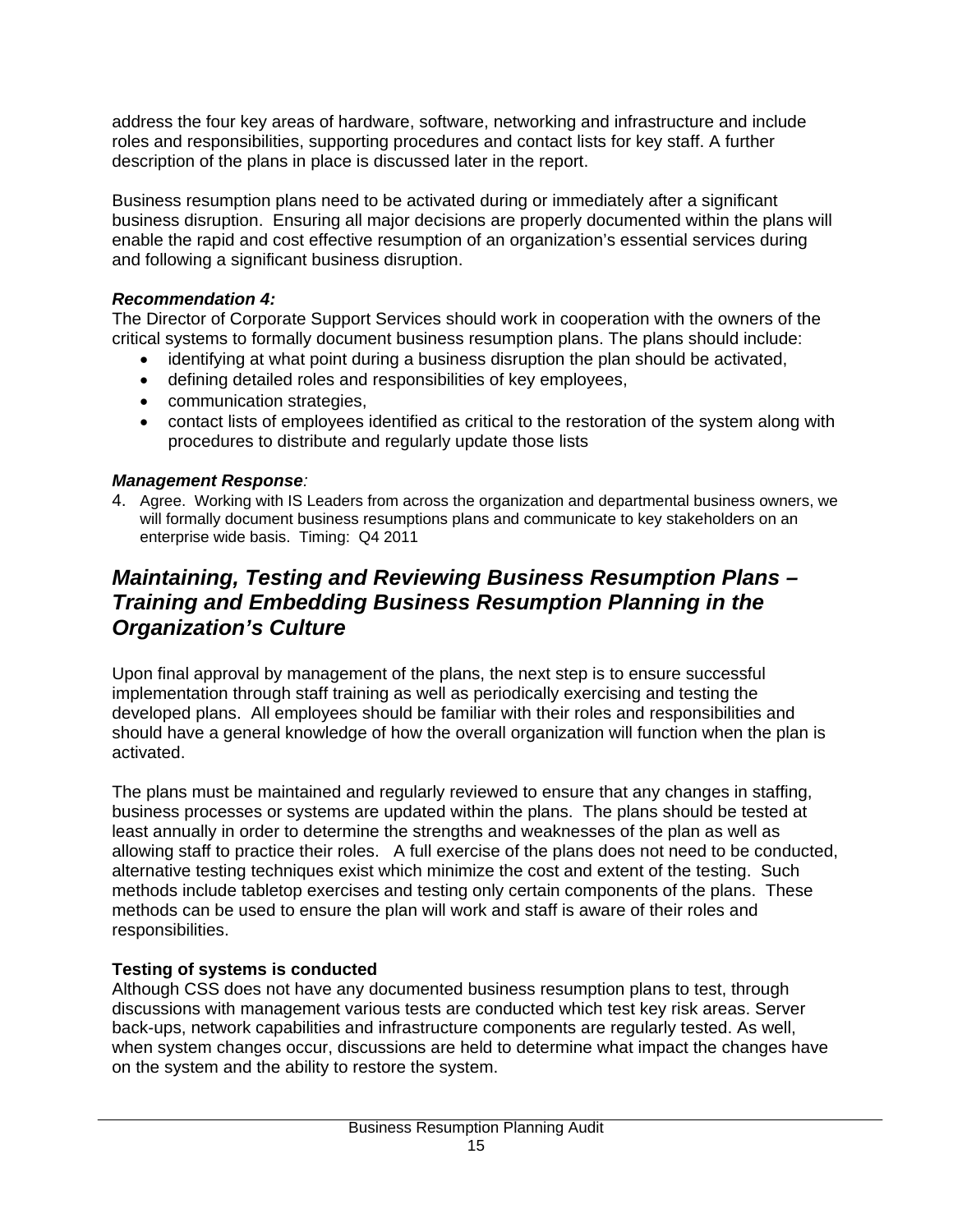address the four key areas of hardware, software, networking and infrastructure and include roles and responsibilities, supporting procedures and contact lists for key staff. A further description of the plans in place is discussed later in the report.

Business resumption plans need to be activated during or immediately after a significant business disruption. Ensuring all major decisions are properly documented within the plans will enable the rapid and cost effective resumption of an organization's essential services during and following a significant business disruption.

# *Recommendation 4:*

The Director of Corporate Support Services should work in cooperation with the owners of the critical systems to formally document business resumption plans. The plans should include:

- identifying at what point during a business disruption the plan should be activated,
- defining detailed roles and responsibilities of key employees,
- communication strategies,
- contact lists of employees identified as critical to the restoration of the system along with procedures to distribute and regularly update those lists

# *Management Response:*

4. Agree. Working with IS Leaders from across the organization and departmental business owners, we will formally document business resumptions plans and communicate to key stakeholders on an enterprise wide basis. Timing: Q4 2011

# *Maintaining, Testing and Reviewing Business Resumption Plans – Training and Embedding Business Resumption Planning in the Organization's Culture*

Upon final approval by management of the plans, the next step is to ensure successful implementation through staff training as well as periodically exercising and testing the developed plans. All employees should be familiar with their roles and responsibilities and should have a general knowledge of how the overall organization will function when the plan is activated.

The plans must be maintained and regularly reviewed to ensure that any changes in staffing, business processes or systems are updated within the plans. The plans should be tested at least annually in order to determine the strengths and weaknesses of the plan as well as allowing staff to practice their roles. A full exercise of the plans does not need to be conducted, alternative testing techniques exist which minimize the cost and extent of the testing. Such methods include tabletop exercises and testing only certain components of the plans. These methods can be used to ensure the plan will work and staff is aware of their roles and responsibilities.

# **Testing of systems is conducted**

Although CSS does not have any documented business resumption plans to test, through discussions with management various tests are conducted which test key risk areas. Server back-ups, network capabilities and infrastructure components are regularly tested. As well, when system changes occur, discussions are held to determine what impact the changes have on the system and the ability to restore the system.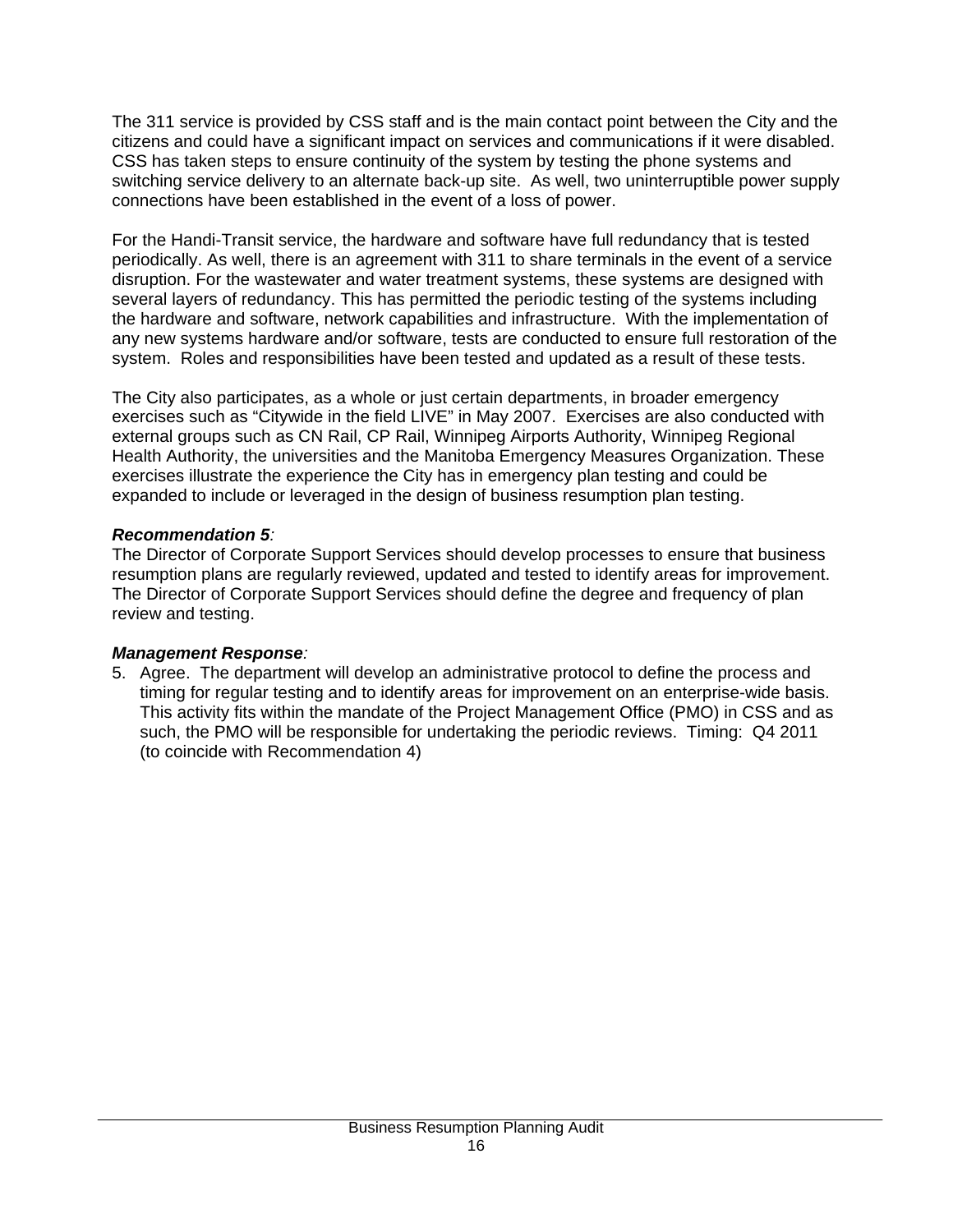The 311 service is provided by CSS staff and is the main contact point between the City and the citizens and could have a significant impact on services and communications if it were disabled. CSS has taken steps to ensure continuity of the system by testing the phone systems and switching service delivery to an alternate back-up site. As well, two uninterruptible power supply connections have been established in the event of a loss of power.

For the Handi-Transit service, the hardware and software have full redundancy that is tested periodically. As well, there is an agreement with 311 to share terminals in the event of a service disruption. For the wastewater and water treatment systems, these systems are designed with several layers of redundancy. This has permitted the periodic testing of the systems including the hardware and software, network capabilities and infrastructure. With the implementation of any new systems hardware and/or software, tests are conducted to ensure full restoration of the system. Roles and responsibilities have been tested and updated as a result of these tests.

The City also participates, as a whole or just certain departments, in broader emergency exercises such as "Citywide in the field LIVE" in May 2007. Exercises are also conducted with external groups such as CN Rail, CP Rail, Winnipeg Airports Authority, Winnipeg Regional Health Authority, the universities and the Manitoba Emergency Measures Organization. These exercises illustrate the experience the City has in emergency plan testing and could be expanded to include or leveraged in the design of business resumption plan testing.

# *Recommendation 5:*

The Director of Corporate Support Services should develop processes to ensure that business resumption plans are regularly reviewed, updated and tested to identify areas for improvement. The Director of Corporate Support Services should define the degree and frequency of plan review and testing.

## *Management Response:*

5. Agree. The department will develop an administrative protocol to define the process and timing for regular testing and to identify areas for improvement on an enterprise-wide basis. This activity fits within the mandate of the Project Management Office (PMO) in CSS and as such, the PMO will be responsible for undertaking the periodic reviews. Timing: Q4 2011 (to coincide with Recommendation 4)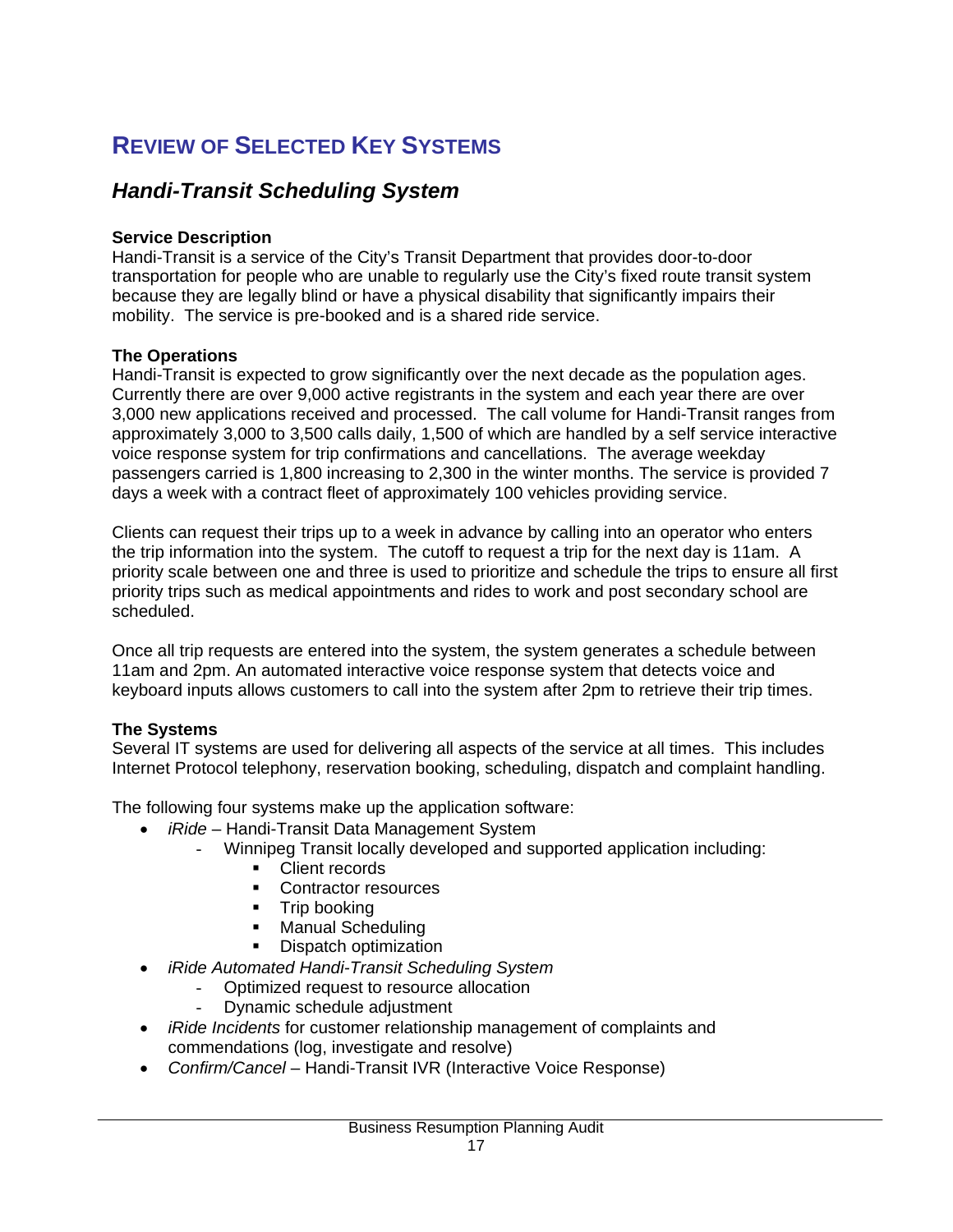# **REVIEW OF SELECTED KEY SYSTEMS**

# *Handi-Transit Scheduling System*

#### **Service Description**

Handi-Transit is a service of the City's Transit Department that provides door-to-door transportation for people who are unable to regularly use the City's fixed route transit system because they are legally blind or have a physical disability that significantly impairs their mobility. The service is pre-booked and is a shared ride service.

## **The Operations**

Handi-Transit is expected to grow significantly over the next decade as the population ages. Currently there are over 9,000 active registrants in the system and each year there are over 3,000 new applications received and processed. The call volume for Handi-Transit ranges from approximately 3,000 to 3,500 calls daily, 1,500 of which are handled by a self service interactive voice response system for trip confirmations and cancellations. The average weekday passengers carried is 1,800 increasing to 2,300 in the winter months. The service is provided 7 days a week with a contract fleet of approximately 100 vehicles providing service.

Clients can request their trips up to a week in advance by calling into an operator who enters the trip information into the system. The cutoff to request a trip for the next day is 11am. A priority scale between one and three is used to prioritize and schedule the trips to ensure all first priority trips such as medical appointments and rides to work and post secondary school are scheduled.

Once all trip requests are entered into the system, the system generates a schedule between 11am and 2pm. An automated interactive voice response system that detects voice and keyboard inputs allows customers to call into the system after 2pm to retrieve their trip times.

## **The Systems**

Several IT systems are used for delivering all aspects of the service at all times. This includes Internet Protocol telephony, reservation booking, scheduling, dispatch and complaint handling.

The following four systems make up the application software:

- *iRide*  Handi-Transit Data Management System
	- Winnipeg Transit locally developed and supported application including:
		- Client records
		- **Contractor resources**
		- Trip booking
		- Manual Scheduling
		- **Dispatch optimization**
- *iRide Automated Handi-Transit Scheduling System* 
	- Optimized request to resource allocation
	- Dynamic schedule adjustment
- *iRide Incidents* for customer relationship management of complaints and commendations (log, investigate and resolve)
- *Confirm/Cancel* Handi-Transit IVR (Interactive Voice Response)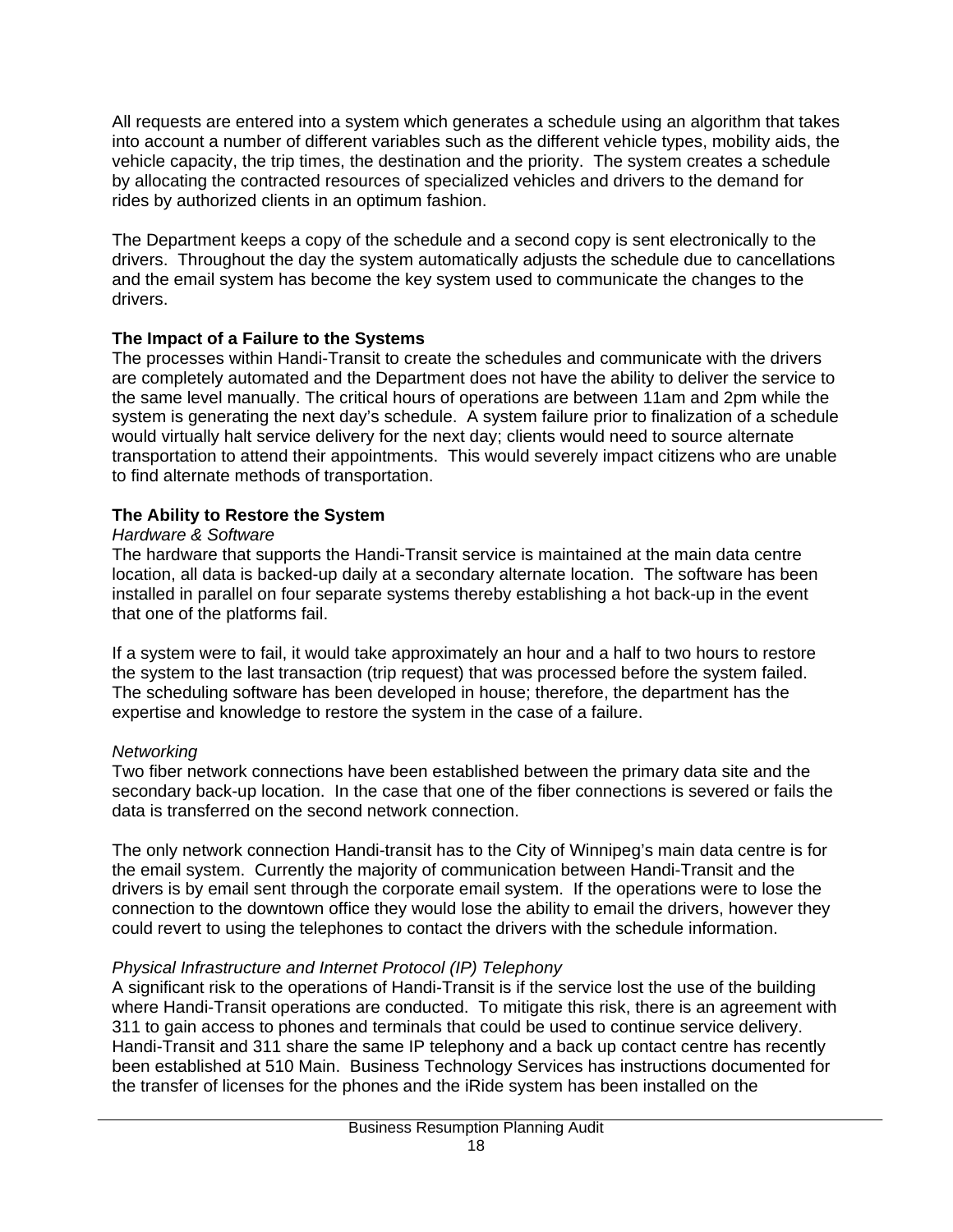All requests are entered into a system which generates a schedule using an algorithm that takes into account a number of different variables such as the different vehicle types, mobility aids, the vehicle capacity, the trip times, the destination and the priority. The system creates a schedule by allocating the contracted resources of specialized vehicles and drivers to the demand for rides by authorized clients in an optimum fashion.

The Department keeps a copy of the schedule and a second copy is sent electronically to the drivers. Throughout the day the system automatically adjusts the schedule due to cancellations and the email system has become the key system used to communicate the changes to the drivers.

# **The Impact of a Failure to the Systems**

The processes within Handi-Transit to create the schedules and communicate with the drivers are completely automated and the Department does not have the ability to deliver the service to the same level manually. The critical hours of operations are between 11am and 2pm while the system is generating the next day's schedule. A system failure prior to finalization of a schedule would virtually halt service delivery for the next day; clients would need to source alternate transportation to attend their appointments. This would severely impact citizens who are unable to find alternate methods of transportation.

# **The Ability to Restore the System**

# *Hardware & Software*

The hardware that supports the Handi-Transit service is maintained at the main data centre location, all data is backed-up daily at a secondary alternate location. The software has been installed in parallel on four separate systems thereby establishing a hot back-up in the event that one of the platforms fail.

If a system were to fail, it would take approximately an hour and a half to two hours to restore the system to the last transaction (trip request) that was processed before the system failed. The scheduling software has been developed in house; therefore, the department has the expertise and knowledge to restore the system in the case of a failure.

# *Networking*

Two fiber network connections have been established between the primary data site and the secondary back-up location. In the case that one of the fiber connections is severed or fails the data is transferred on the second network connection.

The only network connection Handi-transit has to the City of Winnipeg's main data centre is for the email system. Currently the majority of communication between Handi-Transit and the drivers is by email sent through the corporate email system. If the operations were to lose the connection to the downtown office they would lose the ability to email the drivers, however they could revert to using the telephones to contact the drivers with the schedule information.

# *Physical Infrastructure and Internet Protocol (IP) Telephony*

A significant risk to the operations of Handi-Transit is if the service lost the use of the building where Handi-Transit operations are conducted. To mitigate this risk, there is an agreement with 311 to gain access to phones and terminals that could be used to continue service delivery. Handi-Transit and 311 share the same IP telephony and a back up contact centre has recently been established at 510 Main. Business Technology Services has instructions documented for the transfer of licenses for the phones and the iRide system has been installed on the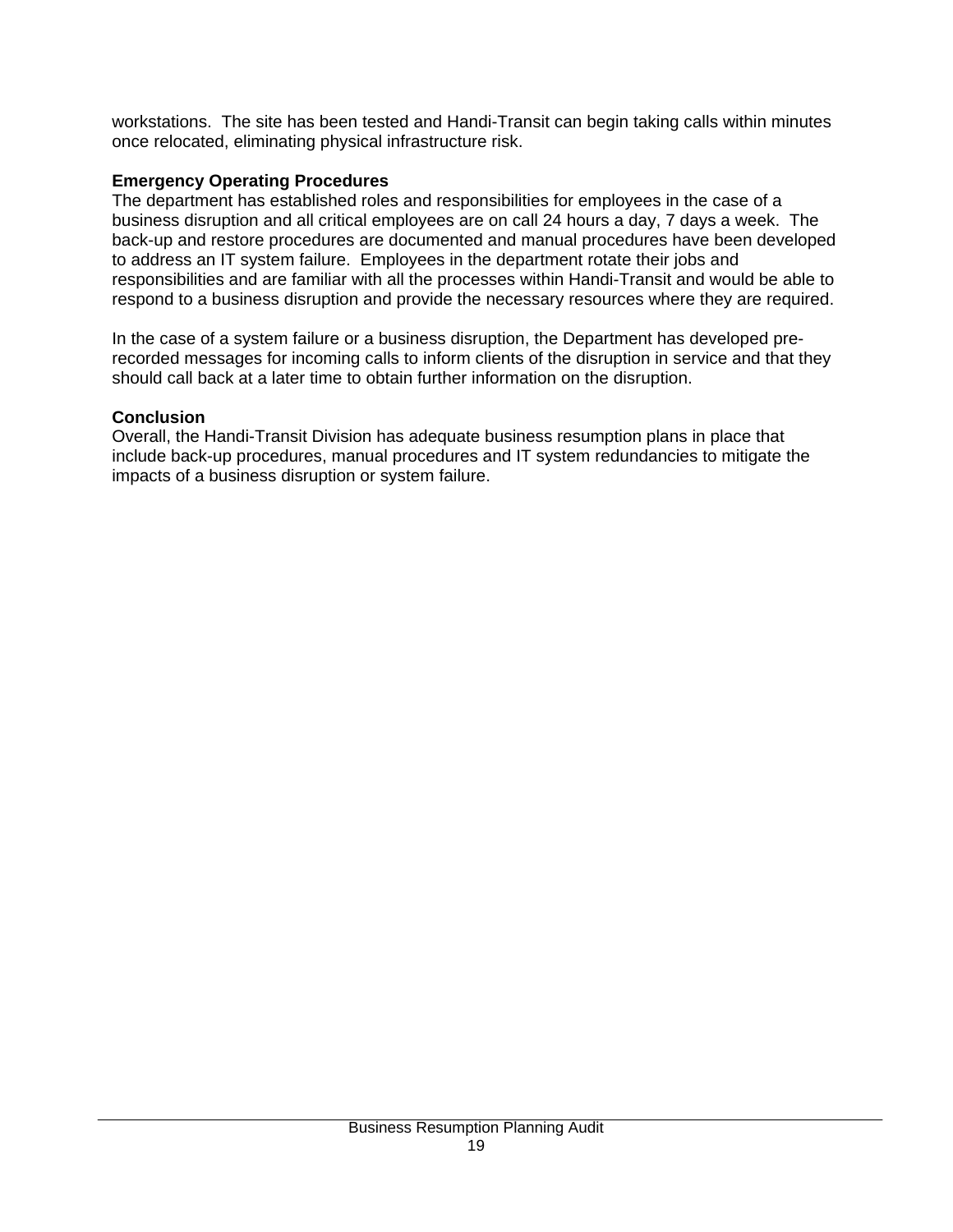workstations. The site has been tested and Handi-Transit can begin taking calls within minutes once relocated, eliminating physical infrastructure risk.

#### **Emergency Operating Procedures**

The department has established roles and responsibilities for employees in the case of a business disruption and all critical employees are on call 24 hours a day, 7 days a week. The back-up and restore procedures are documented and manual procedures have been developed to address an IT system failure. Employees in the department rotate their jobs and responsibilities and are familiar with all the processes within Handi-Transit and would be able to respond to a business disruption and provide the necessary resources where they are required.

In the case of a system failure or a business disruption, the Department has developed prerecorded messages for incoming calls to inform clients of the disruption in service and that they should call back at a later time to obtain further information on the disruption.

#### **Conclusion**

Overall, the Handi-Transit Division has adequate business resumption plans in place that include back-up procedures, manual procedures and IT system redundancies to mitigate the impacts of a business disruption or system failure.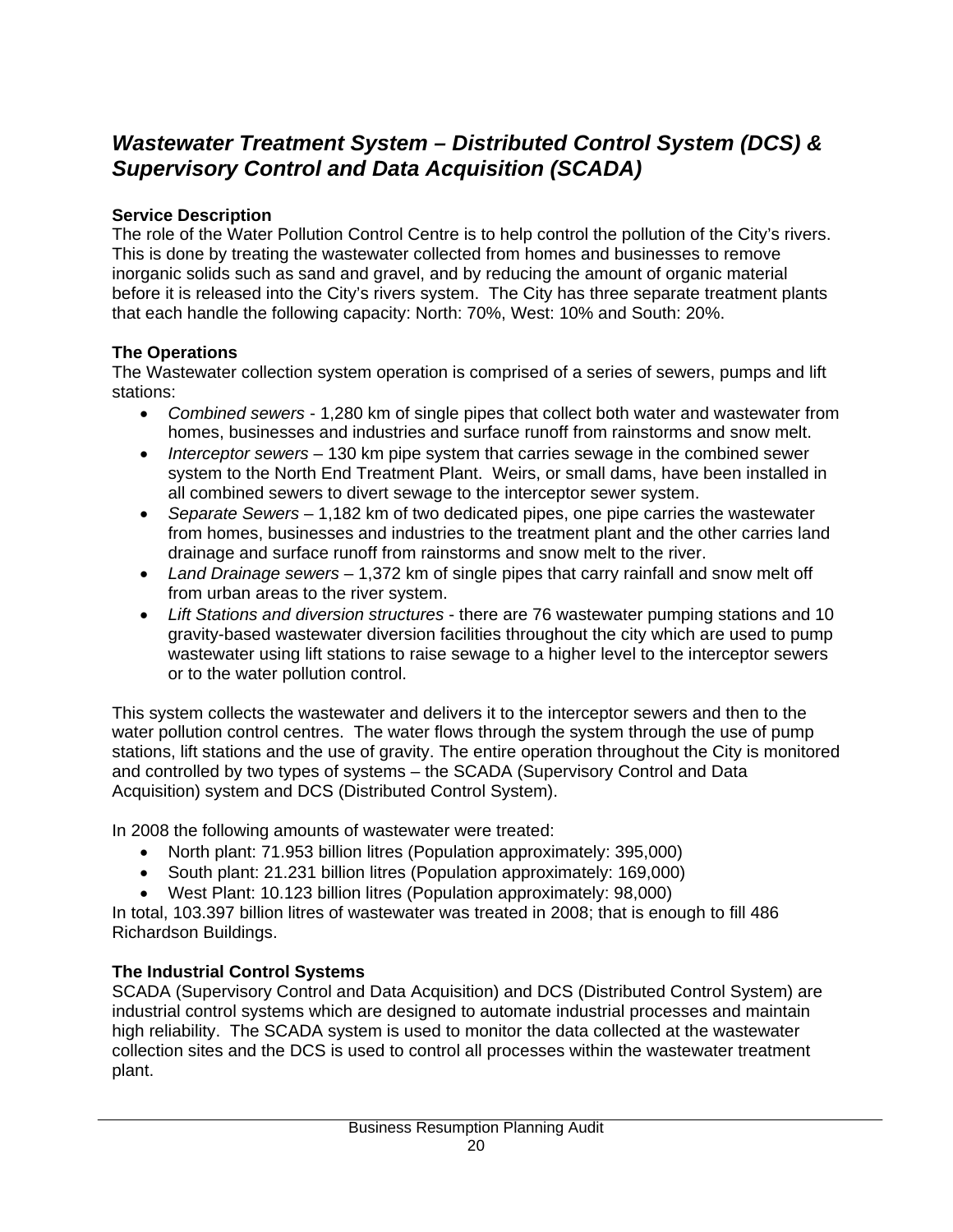# *Wastewater Treatment System – Distributed Control System (DCS) & Supervisory Control and Data Acquisition (SCADA)*

# **Service Description**

The role of the Water Pollution Control Centre is to help control the pollution of the City's rivers. This is done by treating the wastewater collected from homes and businesses to remove inorganic solids such as sand and gravel, and by reducing the amount of organic material before it is released into the City's rivers system. The City has three separate treatment plants that each handle the following capacity: North: 70%, West: 10% and South: 20%.

# **The Operations**

The Wastewater collection system operation is comprised of a series of sewers, pumps and lift stations:

- *Combined sewers* 1,280 km of single pipes that collect both water and wastewater from homes, businesses and industries and surface runoff from rainstorms and snow melt.
- *Interceptor sewers* 130 km pipe system that carries sewage in the combined sewer system to the North End Treatment Plant. Weirs, or small dams, have been installed in all combined sewers to divert sewage to the interceptor sewer system.
- *Separate Sewers* 1,182 km of two dedicated pipes, one pipe carries the wastewater from homes, businesses and industries to the treatment plant and the other carries land drainage and surface runoff from rainstorms and snow melt to the river.
- *Land Drainage sewers* 1,372 km of single pipes that carry rainfall and snow melt off from urban areas to the river system.
- *Lift Stations and diversion structures* there are 76 wastewater pumping stations and 10 gravity-based wastewater diversion facilities throughout the city which are used to pump wastewater using lift stations to raise sewage to a higher level to the interceptor sewers or to the water pollution control.

This system collects the wastewater and delivers it to the interceptor sewers and then to the water pollution control centres. The water flows through the system through the use of pump stations, lift stations and the use of gravity. The entire operation throughout the City is monitored and controlled by two types of systems – the SCADA (Supervisory Control and Data Acquisition) system and DCS (Distributed Control System).

In 2008 the following amounts of wastewater were treated:

- North plant: 71.953 billion litres (Population approximately: 395,000)
- South plant: 21.231 billion litres (Population approximately: 169,000)
- West Plant: 10.123 billion litres (Population approximately: 98,000)

In total, 103.397 billion litres of wastewater was treated in 2008; that is enough to fill 486 Richardson Buildings.

# **The Industrial Control Systems**

SCADA (Supervisory Control and Data Acquisition) and DCS (Distributed Control System) are industrial control systems which are designed to automate industrial processes and maintain high reliability. The SCADA system is used to monitor the data collected at the wastewater collection sites and the DCS is used to control all processes within the wastewater treatment plant.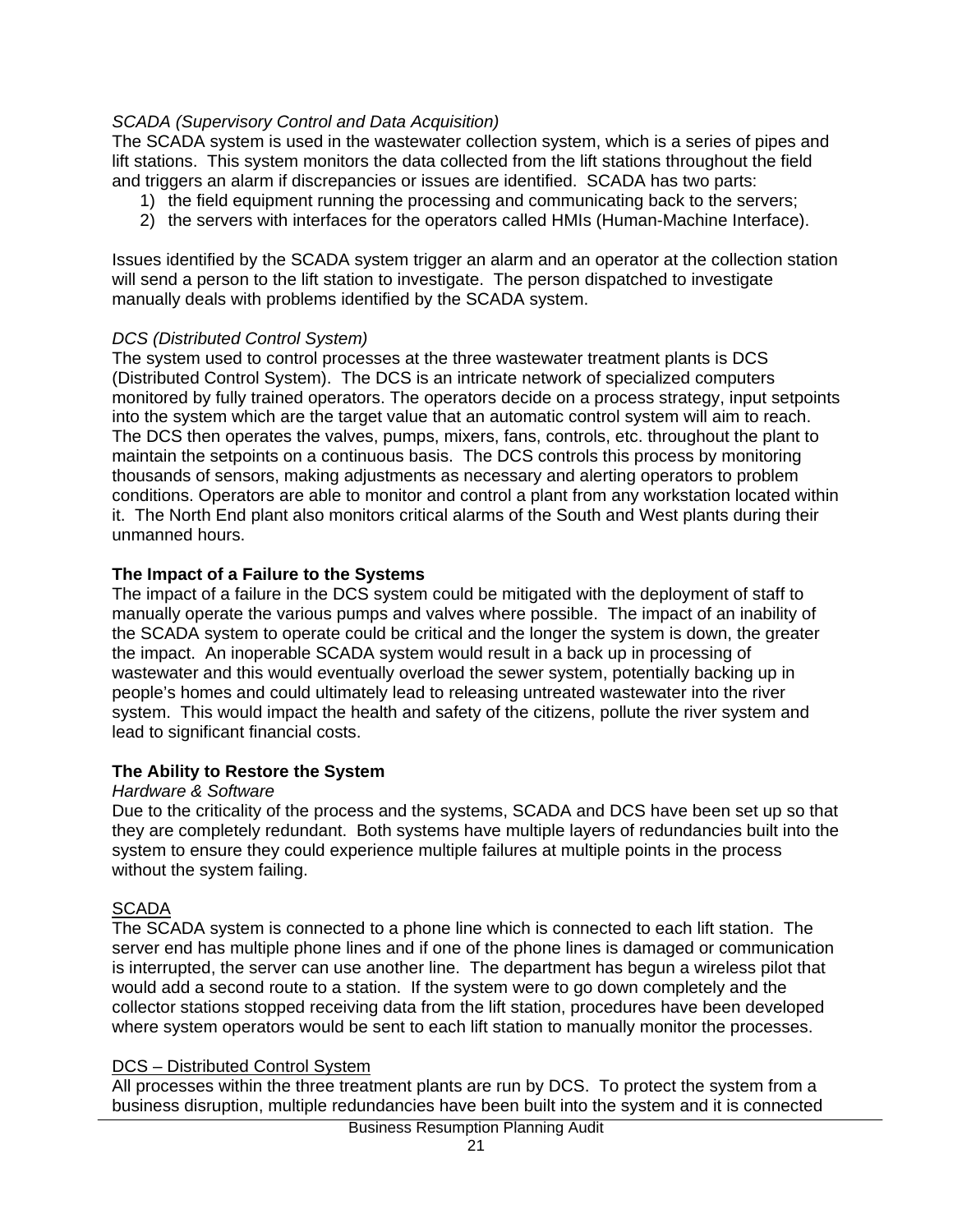#### *SCADA (Supervisory Control and Data Acquisition)*

The SCADA system is used in the wastewater collection system, which is a series of pipes and lift stations. This system monitors the data collected from the lift stations throughout the field and triggers an alarm if discrepancies or issues are identified. SCADA has two parts:

- 1) the field equipment running the processing and communicating back to the servers;
- 2) the servers with interfaces for the operators called HMIs (Human-Machine Interface).

Issues identified by the SCADA system trigger an alarm and an operator at the collection station will send a person to the lift station to investigate. The person dispatched to investigate manually deals with problems identified by the SCADA system.

#### *DCS (Distributed Control System)*

The system used to control processes at the three wastewater treatment plants is DCS (Distributed Control System). The DCS is an intricate network of specialized computers monitored by fully trained operators. The operators decide on a process strategy, input setpoints into the system which are the target value that an automatic control system will aim to reach. The DCS then operates the valves, pumps, mixers, fans, controls, etc. throughout the plant to maintain the setpoints on a continuous basis. The DCS controls this process by monitoring thousands of sensors, making adjustments as necessary and alerting operators to problem conditions. Operators are able to monitor and control a plant from any workstation located within it. The North End plant also monitors critical alarms of the South and West plants during their unmanned hours.

#### **The Impact of a Failure to the Systems**

The impact of a failure in the DCS system could be mitigated with the deployment of staff to manually operate the various pumps and valves where possible. The impact of an inability of the SCADA system to operate could be critical and the longer the system is down, the greater the impact. An inoperable SCADA system would result in a back up in processing of wastewater and this would eventually overload the sewer system, potentially backing up in people's homes and could ultimately lead to releasing untreated wastewater into the river system. This would impact the health and safety of the citizens, pollute the river system and lead to significant financial costs.

#### **The Ability to Restore the System**

#### *Hardware & Software*

Due to the criticality of the process and the systems, SCADA and DCS have been set up so that they are completely redundant. Both systems have multiple layers of redundancies built into the system to ensure they could experience multiple failures at multiple points in the process without the system failing.

# **SCADA**

The SCADA system is connected to a phone line which is connected to each lift station. The server end has multiple phone lines and if one of the phone lines is damaged or communication is interrupted, the server can use another line. The department has begun a wireless pilot that would add a second route to a station. If the system were to go down completely and the collector stations stopped receiving data from the lift station, procedures have been developed where system operators would be sent to each lift station to manually monitor the processes.

#### DCS – Distributed Control System

All processes within the three treatment plants are run by DCS. To protect the system from a business disruption, multiple redundancies have been built into the system and it is connected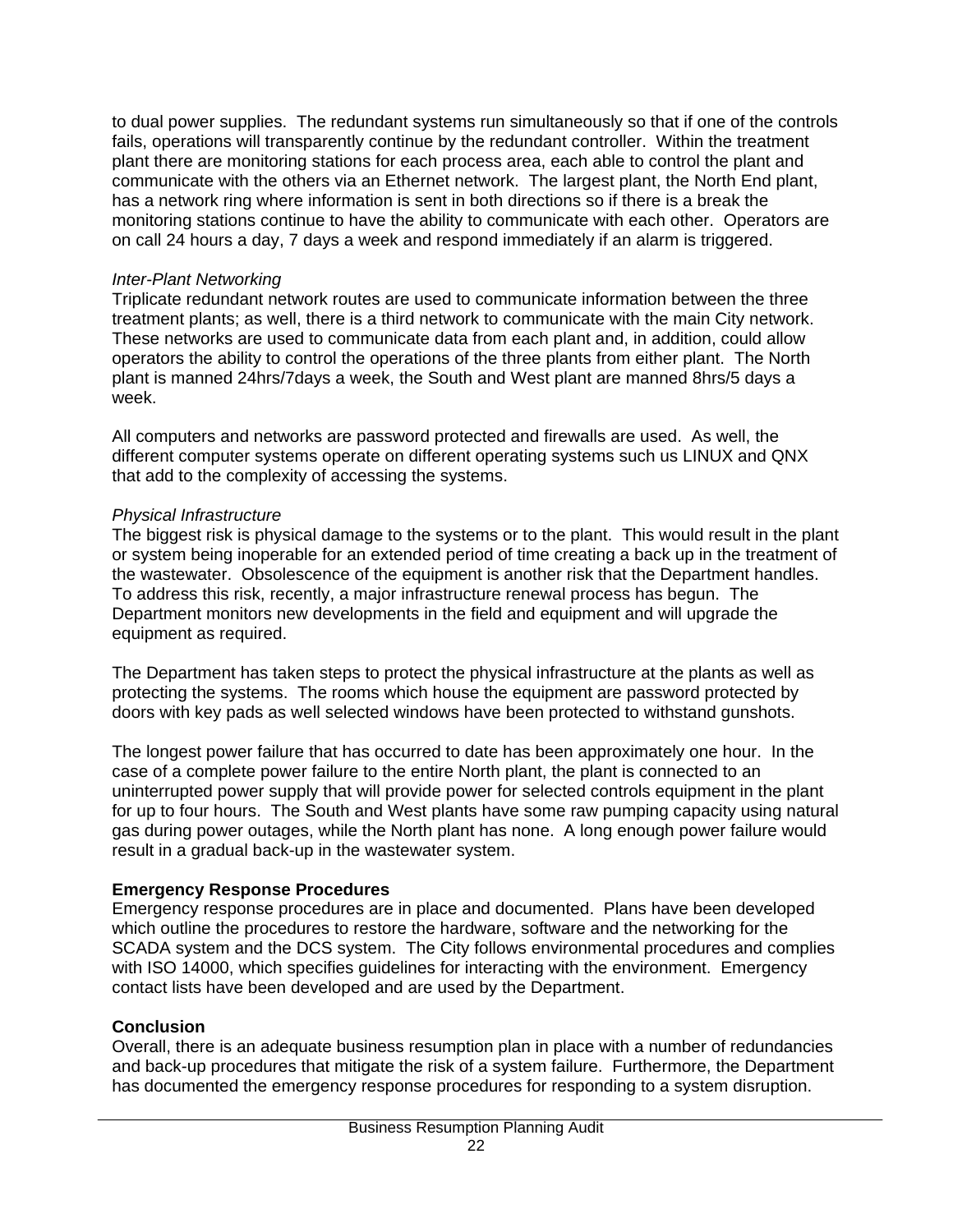to dual power supplies. The redundant systems run simultaneously so that if one of the controls fails, operations will transparently continue by the redundant controller. Within the treatment plant there are monitoring stations for each process area, each able to control the plant and communicate with the others via an Ethernet network. The largest plant, the North End plant, has a network ring where information is sent in both directions so if there is a break the monitoring stations continue to have the ability to communicate with each other. Operators are on call 24 hours a day, 7 days a week and respond immediately if an alarm is triggered.

#### *Inter-Plant Networking*

Triplicate redundant network routes are used to communicate information between the three treatment plants; as well, there is a third network to communicate with the main City network. These networks are used to communicate data from each plant and, in addition, could allow operators the ability to control the operations of the three plants from either plant. The North plant is manned 24hrs/7days a week, the South and West plant are manned 8hrs/5 days a week.

All computers and networks are password protected and firewalls are used. As well, the different computer systems operate on different operating systems such us LINUX and QNX that add to the complexity of accessing the systems.

## *Physical Infrastructure*

The biggest risk is physical damage to the systems or to the plant. This would result in the plant or system being inoperable for an extended period of time creating a back up in the treatment of the wastewater. Obsolescence of the equipment is another risk that the Department handles. To address this risk, recently, a major infrastructure renewal process has begun. The Department monitors new developments in the field and equipment and will upgrade the equipment as required.

The Department has taken steps to protect the physical infrastructure at the plants as well as protecting the systems. The rooms which house the equipment are password protected by doors with key pads as well selected windows have been protected to withstand gunshots.

The longest power failure that has occurred to date has been approximately one hour. In the case of a complete power failure to the entire North plant, the plant is connected to an uninterrupted power supply that will provide power for selected controls equipment in the plant for up to four hours. The South and West plants have some raw pumping capacity using natural gas during power outages, while the North plant has none. A long enough power failure would result in a gradual back-up in the wastewater system.

## **Emergency Response Procedures**

Emergency response procedures are in place and documented. Plans have been developed which outline the procedures to restore the hardware, software and the networking for the SCADA system and the DCS system. The City follows environmental procedures and complies with ISO 14000, which specifies guidelines for interacting with the environment. Emergency contact lists have been developed and are used by the Department.

## **Conclusion**

Overall, there is an adequate business resumption plan in place with a number of redundancies and back-up procedures that mitigate the risk of a system failure. Furthermore, the Department has documented the emergency response procedures for responding to a system disruption.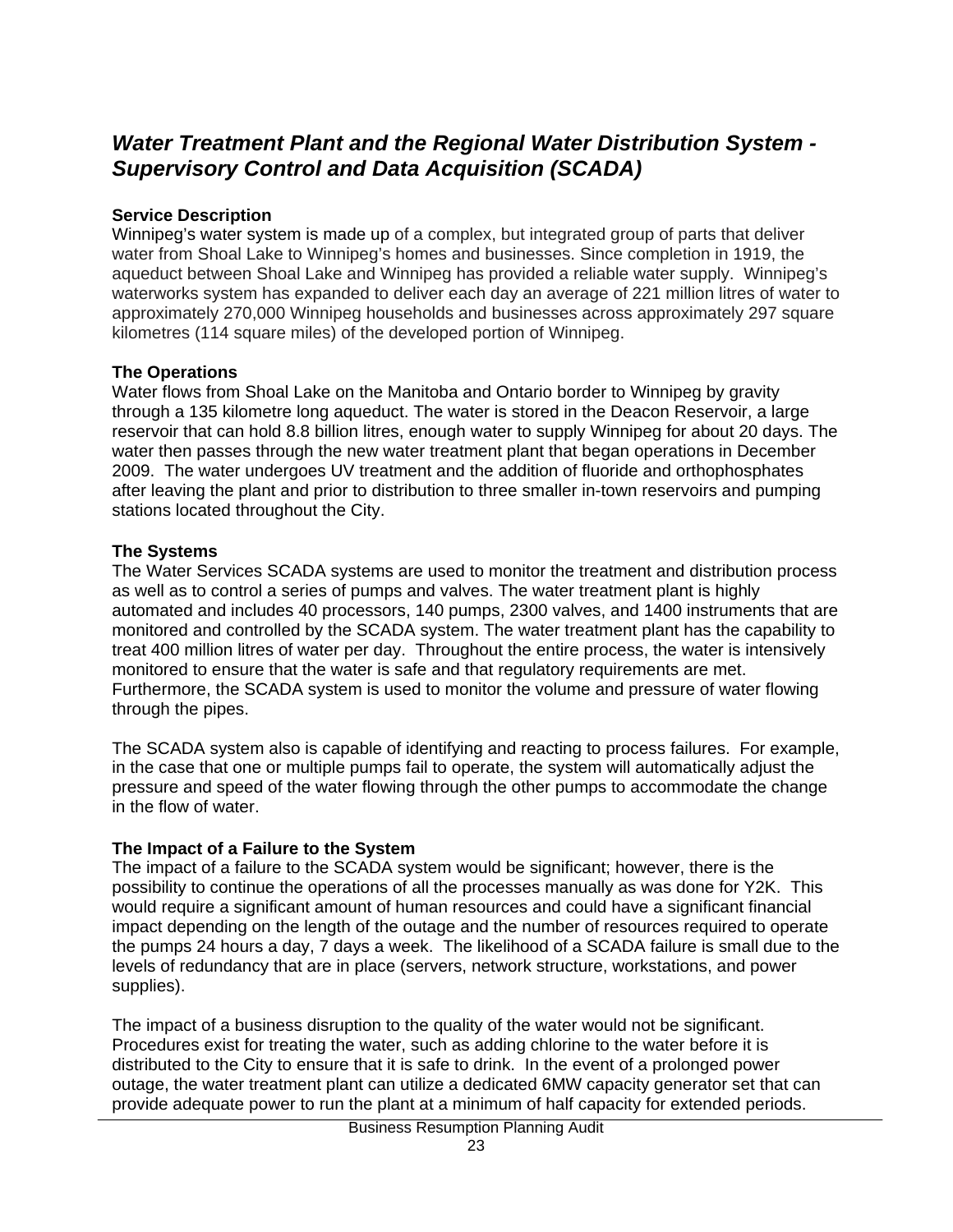# *Water Treatment Plant and the Regional Water Distribution System - Supervisory Control and Data Acquisition (SCADA)*

## **Service Description**

Winnipeg's water system is made up of a complex, but integrated group of parts that deliver water from Shoal Lake to Winnipeg's homes and businesses. Since completion in 1919, the aqueduct between Shoal Lake and Winnipeg has provided a reliable water supply. Winnipeg's waterworks system has expanded to deliver each day an average of 221 million litres of water to approximately 270,000 Winnipeg households and businesses across approximately 297 square kilometres (114 square miles) of the developed portion of Winnipeg.

#### **The Operations**

Water flows from Shoal Lake on the Manitoba and Ontario border to Winnipeg by gravity through a 135 kilometre long aqueduct. The water is stored in the Deacon Reservoir, a large reservoir that can hold 8.8 billion litres, enough water to supply Winnipeg for about 20 days. The water then passes through the new water treatment plant that began operations in December 2009. The water undergoes UV treatment and the addition of fluoride and orthophosphates after leaving the plant and prior to distribution to three smaller in-town reservoirs and pumping stations located throughout the City.

## **The Systems**

The Water Services SCADA systems are used to monitor the treatment and distribution process as well as to control a series of pumps and valves. The water treatment plant is highly automated and includes 40 processors, 140 pumps, 2300 valves, and 1400 instruments that are monitored and controlled by the SCADA system. The water treatment plant has the capability to treat 400 million litres of water per day. Throughout the entire process, the water is intensively monitored to ensure that the water is safe and that regulatory requirements are met. Furthermore, the SCADA system is used to monitor the volume and pressure of water flowing through the pipes.

The SCADA system also is capable of identifying and reacting to process failures. For example, in the case that one or multiple pumps fail to operate, the system will automatically adjust the pressure and speed of the water flowing through the other pumps to accommodate the change in the flow of water.

## **The Impact of a Failure to the System**

The impact of a failure to the SCADA system would be significant; however, there is the possibility to continue the operations of all the processes manually as was done for Y2K. This would require a significant amount of human resources and could have a significant financial impact depending on the length of the outage and the number of resources required to operate the pumps 24 hours a day, 7 days a week. The likelihood of a SCADA failure is small due to the levels of redundancy that are in place (servers, network structure, workstations, and power supplies).

The impact of a business disruption to the quality of the water would not be significant. Procedures exist for treating the water, such as adding chlorine to the water before it is distributed to the City to ensure that it is safe to drink. In the event of a prolonged power outage, the water treatment plant can utilize a dedicated 6MW capacity generator set that can provide adequate power to run the plant at a minimum of half capacity for extended periods.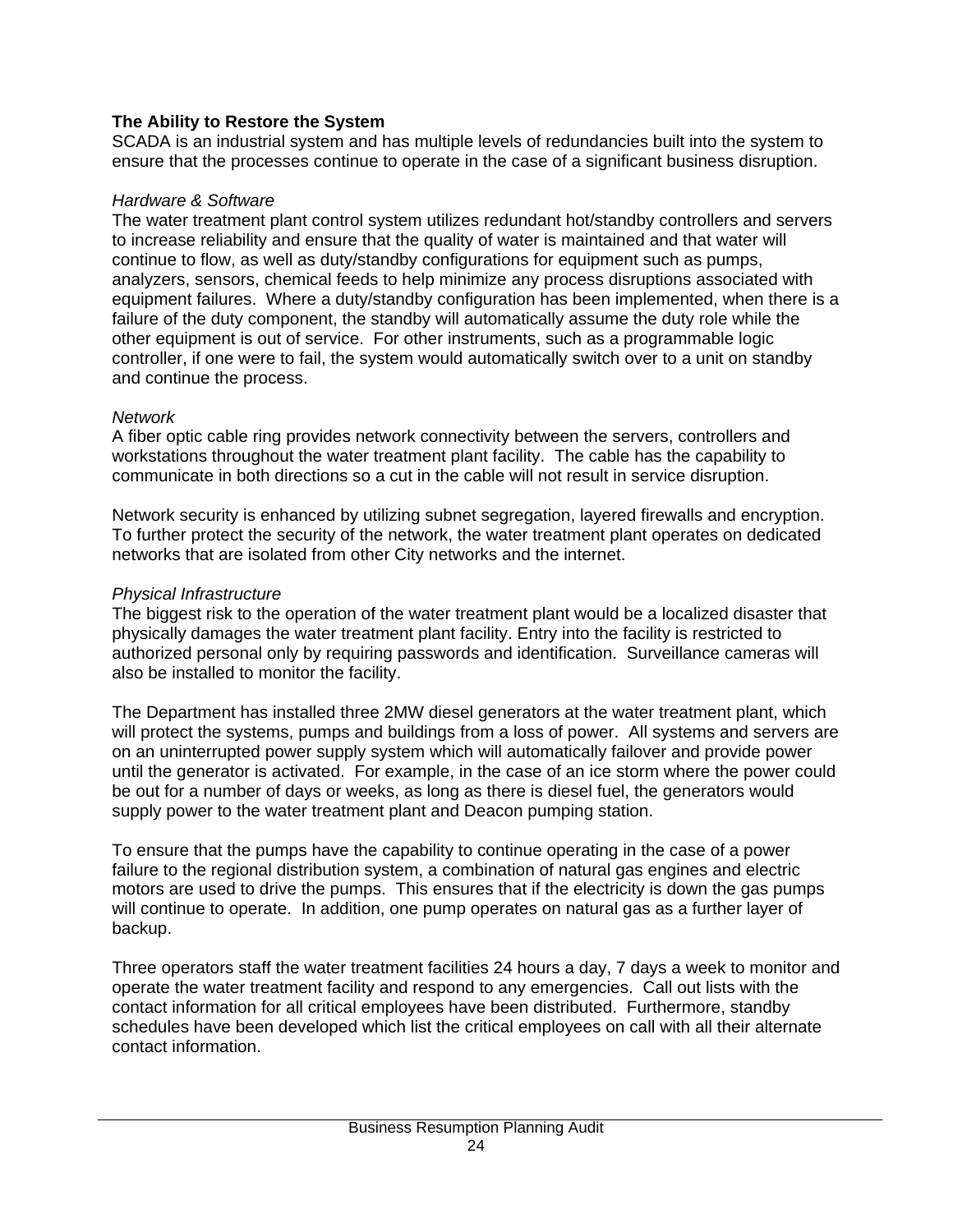## **The Ability to Restore the System**

SCADA is an industrial system and has multiple levels of redundancies built into the system to ensure that the processes continue to operate in the case of a significant business disruption.

#### *Hardware & Software*

The water treatment plant control system utilizes redundant hot/standby controllers and servers to increase reliability and ensure that the quality of water is maintained and that water will continue to flow, as well as duty/standby configurations for equipment such as pumps, analyzers, sensors, chemical feeds to help minimize any process disruptions associated with equipment failures. Where a duty/standby configuration has been implemented, when there is a failure of the duty component, the standby will automatically assume the duty role while the other equipment is out of service. For other instruments, such as a programmable logic controller, if one were to fail, the system would automatically switch over to a unit on standby and continue the process.

#### *Network*

A fiber optic cable ring provides network connectivity between the servers, controllers and workstations throughout the water treatment plant facility. The cable has the capability to communicate in both directions so a cut in the cable will not result in service disruption.

Network security is enhanced by utilizing subnet segregation, layered firewalls and encryption. To further protect the security of the network, the water treatment plant operates on dedicated networks that are isolated from other City networks and the internet.

## *Physical Infrastructure*

The biggest risk to the operation of the water treatment plant would be a localized disaster that physically damages the water treatment plant facility. Entry into the facility is restricted to authorized personal only by requiring passwords and identification. Surveillance cameras will also be installed to monitor the facility.

The Department has installed three 2MW diesel generators at the water treatment plant, which will protect the systems, pumps and buildings from a loss of power. All systems and servers are on an uninterrupted power supply system which will automatically failover and provide power until the generator is activated. For example, in the case of an ice storm where the power could be out for a number of days or weeks, as long as there is diesel fuel, the generators would supply power to the water treatment plant and Deacon pumping station.

To ensure that the pumps have the capability to continue operating in the case of a power failure to the regional distribution system, a combination of natural gas engines and electric motors are used to drive the pumps. This ensures that if the electricity is down the gas pumps will continue to operate. In addition, one pump operates on natural gas as a further layer of backup.

Three operators staff the water treatment facilities 24 hours a day, 7 days a week to monitor and operate the water treatment facility and respond to any emergencies. Call out lists with the contact information for all critical employees have been distributed. Furthermore, standby schedules have been developed which list the critical employees on call with all their alternate contact information.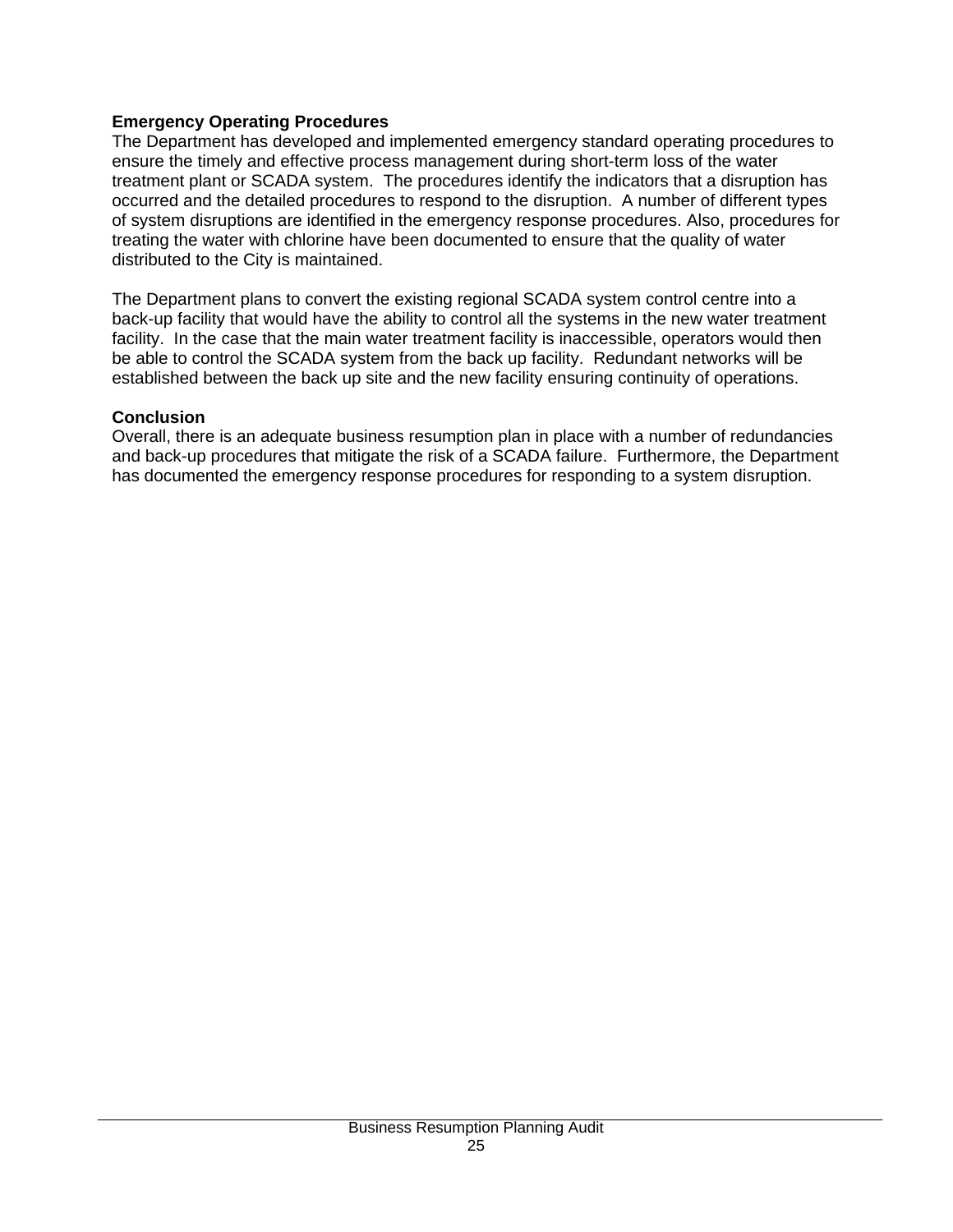#### **Emergency Operating Procedures**

The Department has developed and implemented emergency standard operating procedures to ensure the timely and effective process management during short-term loss of the water treatment plant or SCADA system. The procedures identify the indicators that a disruption has occurred and the detailed procedures to respond to the disruption. A number of different types of system disruptions are identified in the emergency response procedures. Also, procedures for treating the water with chlorine have been documented to ensure that the quality of water distributed to the City is maintained.

The Department plans to convert the existing regional SCADA system control centre into a back-up facility that would have the ability to control all the systems in the new water treatment facility. In the case that the main water treatment facility is inaccessible, operators would then be able to control the SCADA system from the back up facility. Redundant networks will be established between the back up site and the new facility ensuring continuity of operations.

#### **Conclusion**

Overall, there is an adequate business resumption plan in place with a number of redundancies and back-up procedures that mitigate the risk of a SCADA failure. Furthermore, the Department has documented the emergency response procedures for responding to a system disruption.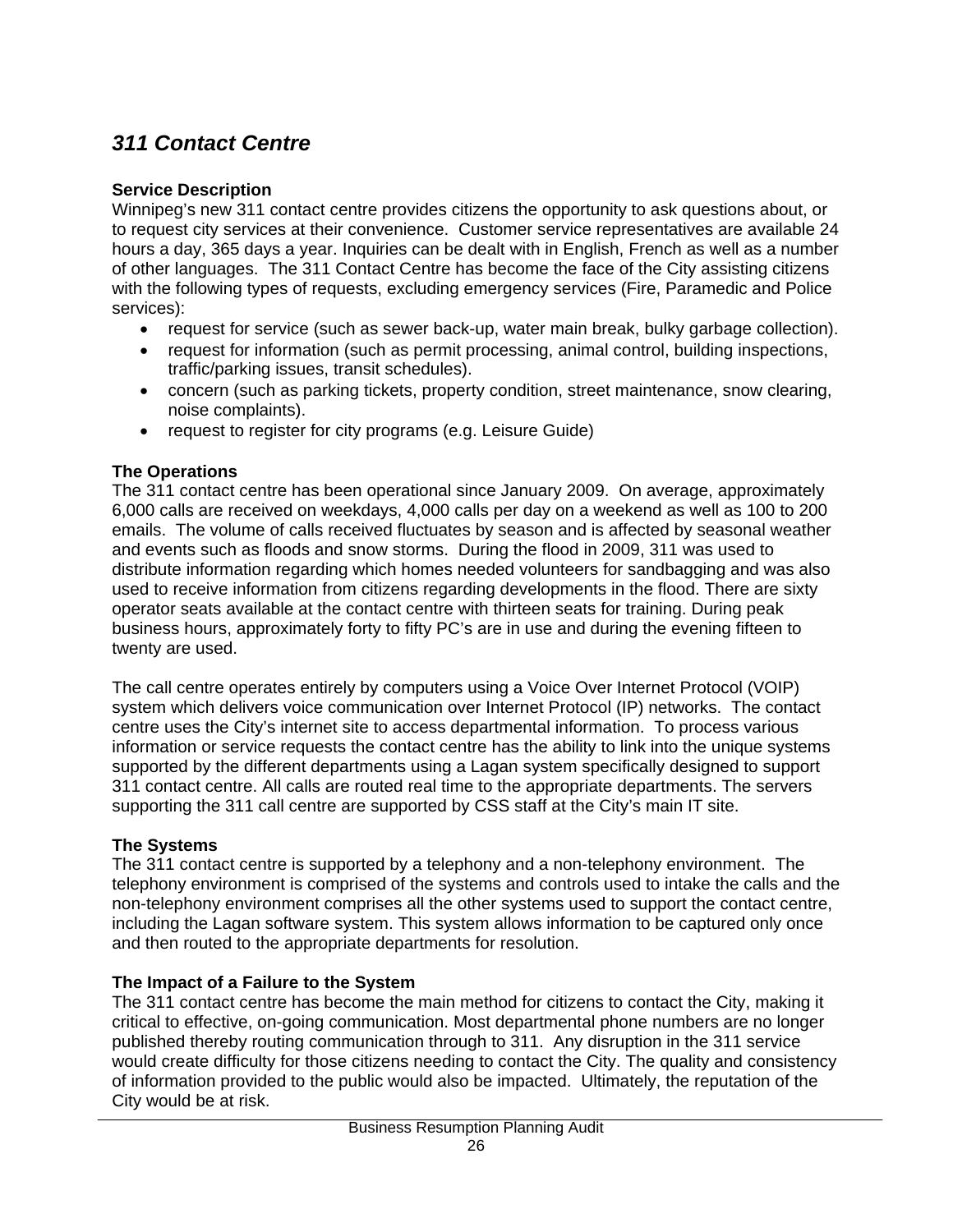# *311 Contact Centre*

# **Service Description**

Winnipeg's new 311 contact centre provides citizens the opportunity to ask questions about, or to request city services at their convenience. Customer service representatives are available 24 hours a day, 365 days a year. Inquiries can be dealt with in English, French as well as a number of other languages. The 311 Contact Centre has become the face of the City assisting citizens with the following types of requests, excluding emergency services (Fire, Paramedic and Police services):

- request for service (such as sewer back-up, water main break, bulky garbage collection).
- request for information (such as permit processing, animal control, building inspections, traffic/parking issues, transit schedules).
- concern (such as parking tickets, property condition, street maintenance, snow clearing, noise complaints).
- request to register for city programs (e.g. Leisure Guide)

# **The Operations**

The 311 contact centre has been operational since January 2009. On average, approximately 6,000 calls are received on weekdays, 4,000 calls per day on a weekend as well as 100 to 200 emails. The volume of calls received fluctuates by season and is affected by seasonal weather and events such as floods and snow storms. During the flood in 2009, 311 was used to distribute information regarding which homes needed volunteers for sandbagging and was also used to receive information from citizens regarding developments in the flood. There are sixty operator seats available at the contact centre with thirteen seats for training. During peak business hours, approximately forty to fifty PC's are in use and during the evening fifteen to twenty are used.

The call centre operates entirely by computers using a Voice Over Internet Protocol (VOIP) system which delivers voice communication over Internet Protocol (IP) networks. The contact centre uses the City's internet site to access departmental information. To process various information or service requests the contact centre has the ability to link into the unique systems supported by the different departments using a Lagan system specifically designed to support 311 contact centre. All calls are routed real time to the appropriate departments. The servers supporting the 311 call centre are supported by CSS staff at the City's main IT site.

# **The Systems**

The 311 contact centre is supported by a telephony and a non-telephony environment. The telephony environment is comprised of the systems and controls used to intake the calls and the non-telephony environment comprises all the other systems used to support the contact centre, including the Lagan software system. This system allows information to be captured only once and then routed to the appropriate departments for resolution.

# **The Impact of a Failure to the System**

The 311 contact centre has become the main method for citizens to contact the City, making it critical to effective, on-going communication. Most departmental phone numbers are no longer published thereby routing communication through to 311. Any disruption in the 311 service would create difficulty for those citizens needing to contact the City. The quality and consistency of information provided to the public would also be impacted. Ultimately, the reputation of the City would be at risk.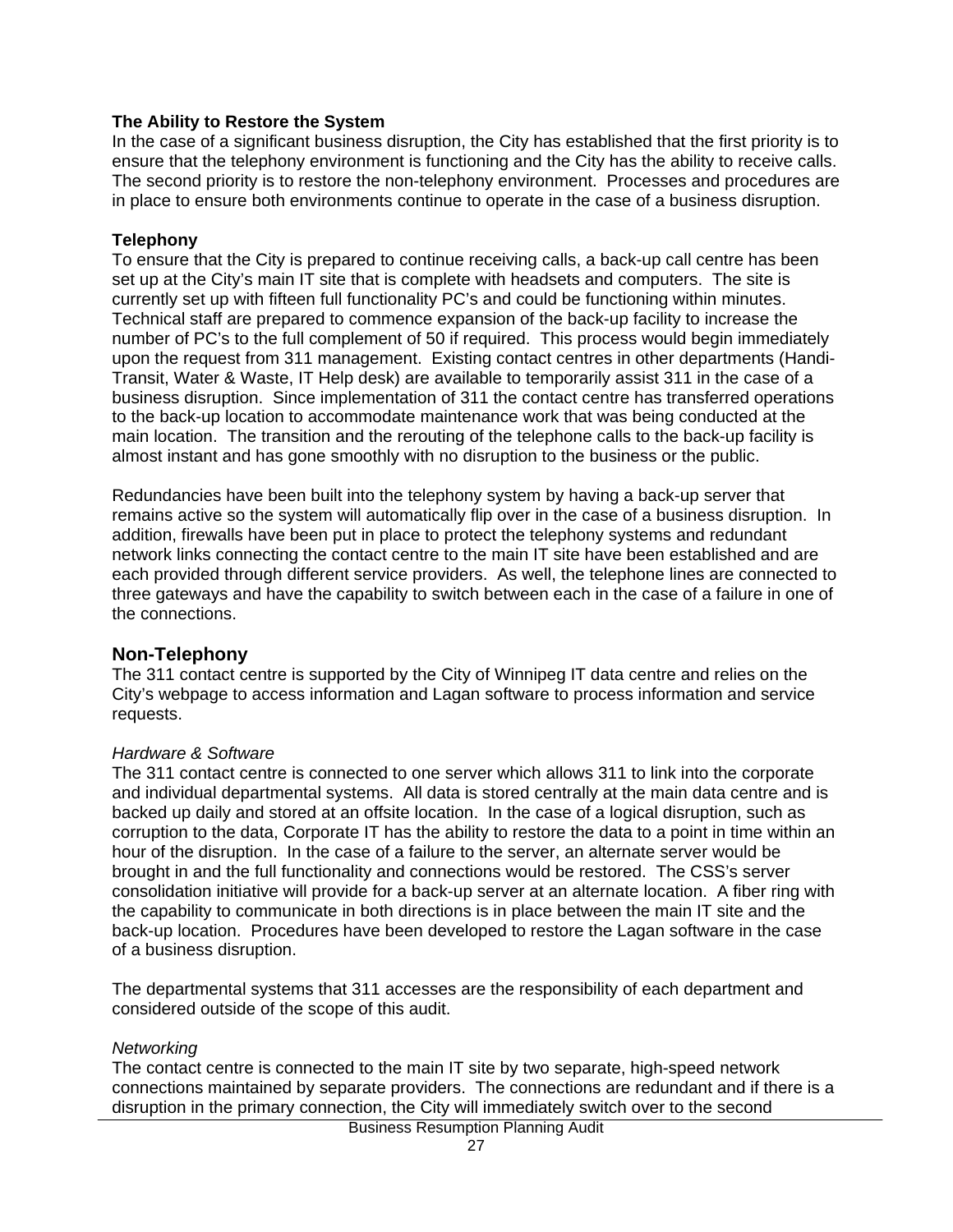#### **The Ability to Restore the System**

In the case of a significant business disruption, the City has established that the first priority is to ensure that the telephony environment is functioning and the City has the ability to receive calls. The second priority is to restore the non-telephony environment. Processes and procedures are in place to ensure both environments continue to operate in the case of a business disruption.

#### **Telephony**

To ensure that the City is prepared to continue receiving calls, a back-up call centre has been set up at the City's main IT site that is complete with headsets and computers. The site is currently set up with fifteen full functionality PC's and could be functioning within minutes. Technical staff are prepared to commence expansion of the back-up facility to increase the number of PC's to the full complement of 50 if required. This process would begin immediately upon the request from 311 management. Existing contact centres in other departments (Handi-Transit, Water & Waste, IT Help desk) are available to temporarily assist 311 in the case of a business disruption. Since implementation of 311 the contact centre has transferred operations to the back-up location to accommodate maintenance work that was being conducted at the main location. The transition and the rerouting of the telephone calls to the back-up facility is almost instant and has gone smoothly with no disruption to the business or the public.

Redundancies have been built into the telephony system by having a back-up server that remains active so the system will automatically flip over in the case of a business disruption. In addition, firewalls have been put in place to protect the telephony systems and redundant network links connecting the contact centre to the main IT site have been established and are each provided through different service providers. As well, the telephone lines are connected to three gateways and have the capability to switch between each in the case of a failure in one of the connections.

## **Non-Telephony**

The 311 contact centre is supported by the City of Winnipeg IT data centre and relies on the City's webpage to access information and Lagan software to process information and service requests.

## *Hardware & Software*

The 311 contact centre is connected to one server which allows 311 to link into the corporate and individual departmental systems. All data is stored centrally at the main data centre and is backed up daily and stored at an offsite location. In the case of a logical disruption, such as corruption to the data, Corporate IT has the ability to restore the data to a point in time within an hour of the disruption. In the case of a failure to the server, an alternate server would be brought in and the full functionality and connections would be restored. The CSS's server consolidation initiative will provide for a back-up server at an alternate location. A fiber ring with the capability to communicate in both directions is in place between the main IT site and the back-up location. Procedures have been developed to restore the Lagan software in the case of a business disruption.

The departmental systems that 311 accesses are the responsibility of each department and considered outside of the scope of this audit.

## *Networking*

The contact centre is connected to the main IT site by two separate, high-speed network connections maintained by separate providers. The connections are redundant and if there is a disruption in the primary connection, the City will immediately switch over to the second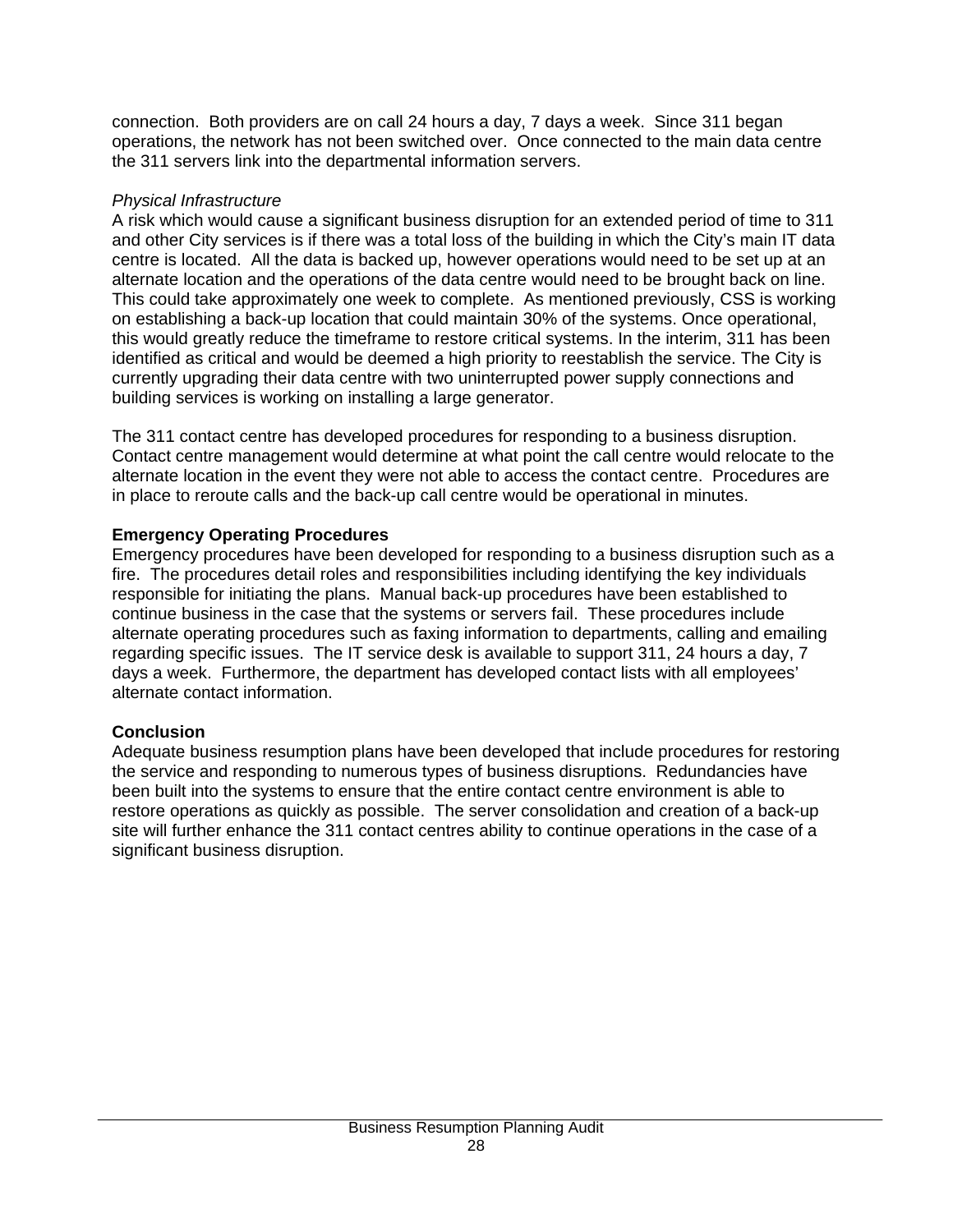connection. Both providers are on call 24 hours a day, 7 days a week. Since 311 began operations, the network has not been switched over. Once connected to the main data centre the 311 servers link into the departmental information servers.

#### *Physical Infrastructure*

A risk which would cause a significant business disruption for an extended period of time to 311 and other City services is if there was a total loss of the building in which the City's main IT data centre is located. All the data is backed up, however operations would need to be set up at an alternate location and the operations of the data centre would need to be brought back on line. This could take approximately one week to complete. As mentioned previously, CSS is working on establishing a back-up location that could maintain 30% of the systems. Once operational, this would greatly reduce the timeframe to restore critical systems. In the interim, 311 has been identified as critical and would be deemed a high priority to reestablish the service. The City is currently upgrading their data centre with two uninterrupted power supply connections and building services is working on installing a large generator.

The 311 contact centre has developed procedures for responding to a business disruption. Contact centre management would determine at what point the call centre would relocate to the alternate location in the event they were not able to access the contact centre. Procedures are in place to reroute calls and the back-up call centre would be operational in minutes.

# **Emergency Operating Procedures**

Emergency procedures have been developed for responding to a business disruption such as a fire. The procedures detail roles and responsibilities including identifying the key individuals responsible for initiating the plans. Manual back-up procedures have been established to continue business in the case that the systems or servers fail. These procedures include alternate operating procedures such as faxing information to departments, calling and emailing regarding specific issues. The IT service desk is available to support 311, 24 hours a day, 7 days a week. Furthermore, the department has developed contact lists with all employees' alternate contact information.

# **Conclusion**

Adequate business resumption plans have been developed that include procedures for restoring the service and responding to numerous types of business disruptions. Redundancies have been built into the systems to ensure that the entire contact centre environment is able to restore operations as quickly as possible. The server consolidation and creation of a back-up site will further enhance the 311 contact centres ability to continue operations in the case of a significant business disruption.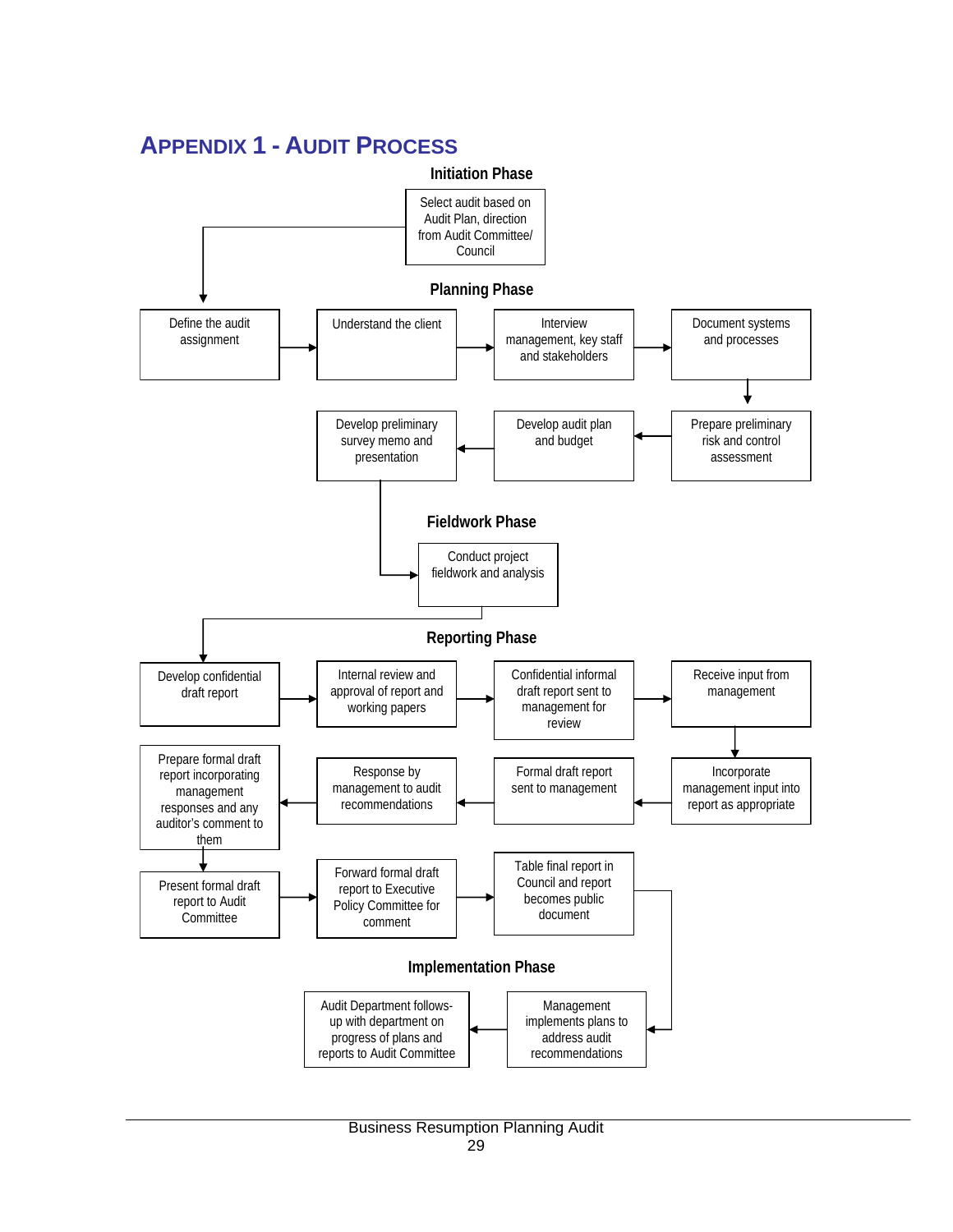

# **APPENDIX 1 - AUDIT PROCESS**